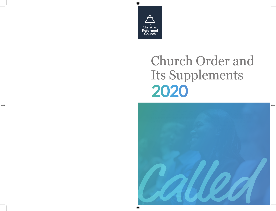

# **2020** Church Order and Its Supplements

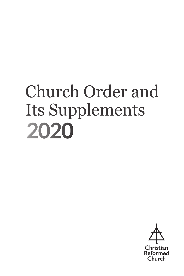## **2020** Church Order and Its Supplements

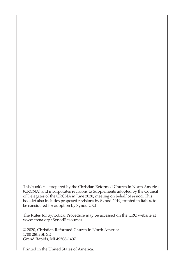This booklet is prepared by the Christian Reformed Church in North America (CRCNA) and incorporates revisions to Supplements adopted by the Council of Delegates of the CRCNA in June 2020, meeting on behalf of synod. This booklet also includes proposed revisions by Synod 2019, printed in italics, to be considered for adoption by Synod 2021.

The Rules for Synodical Procedure may be accessed on the CRC website at www.crcna.org/SynodResources.

© 2020, Christian Reformed Church in North America 1700 28th St. SE Grand Rapids, MI 49508-1407

Printed in the United States of America.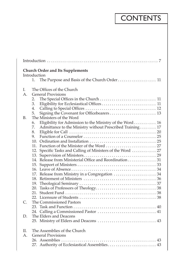## CONTENTS

| <b>Church Order and Its Supplements</b>                         |  |  |
|-----------------------------------------------------------------|--|--|
| Introduction                                                    |  |  |
| The Purpose and Basis of the Church Order 11<br>1.              |  |  |
| The Offices of the Church<br>I.                                 |  |  |
| A <sub>1</sub><br><b>General Provisions</b>                     |  |  |
| 2.                                                              |  |  |
| 3.                                                              |  |  |
| 4.                                                              |  |  |
| 5.                                                              |  |  |
| The Ministers of the Word<br>В.                                 |  |  |
| Eligibility for Admission to the Ministry of the Word 16<br>6.  |  |  |
| Admittance to the Ministry without Prescribed Training 17<br>7. |  |  |
| 8.                                                              |  |  |
| 9.                                                              |  |  |
|                                                                 |  |  |
|                                                                 |  |  |
| 12. Specific Tasks and Calling of Ministers of the Word  27     |  |  |
|                                                                 |  |  |
| 14. Release from Ministerial Office and Reordination 31         |  |  |
|                                                                 |  |  |
| 16.                                                             |  |  |
|                                                                 |  |  |
|                                                                 |  |  |
|                                                                 |  |  |
|                                                                 |  |  |
|                                                                 |  |  |
|                                                                 |  |  |
| C.<br>The Commissioned Pastors                                  |  |  |
|                                                                 |  |  |
| 24. Calling a Commissioned Pastor  41                           |  |  |
| The Elders and Deacons<br>D.                                    |  |  |
|                                                                 |  |  |
| The Assemblies of the Church<br>H.                              |  |  |
| <b>General Provisions</b><br>Α.                                 |  |  |
|                                                                 |  |  |
| 27. Authority of Ecclesiastical Assemblies 43                   |  |  |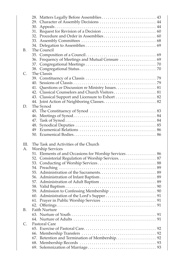|     | 29. Character of Assembly Decisions  44               |  |
|-----|-------------------------------------------------------|--|
|     |                                                       |  |
|     |                                                       |  |
|     |                                                       |  |
|     |                                                       |  |
|     |                                                       |  |
| В.  | The Council                                           |  |
|     |                                                       |  |
|     |                                                       |  |
|     |                                                       |  |
|     |                                                       |  |
| C.  | The Classis                                           |  |
|     |                                                       |  |
|     |                                                       |  |
|     |                                                       |  |
|     |                                                       |  |
|     | 43. Classical Support and Licensure to Exhort  82     |  |
|     | 44. Joint Action of Neighboring Classes 82            |  |
| D.  | The Synod                                             |  |
|     |                                                       |  |
|     |                                                       |  |
|     | 47.                                                   |  |
|     | 48.                                                   |  |
|     | 49                                                    |  |
|     |                                                       |  |
|     |                                                       |  |
|     |                                                       |  |
| HI. | The Task and Activities of the Church                 |  |
| Α.  | <b>Worship Services</b>                               |  |
|     | 51. Elements of and Occasions for Worship Services 86 |  |
|     | 52. Consistorial Regulation of Worship Services. 87   |  |
|     |                                                       |  |
|     |                                                       |  |
|     |                                                       |  |
|     |                                                       |  |
|     |                                                       |  |
|     |                                                       |  |
|     |                                                       |  |
|     |                                                       |  |
|     |                                                       |  |
|     | 91                                                    |  |
| В.  | <b>Faith Nurture</b>                                  |  |
|     |                                                       |  |
|     |                                                       |  |
| C.  | Pastoral Care                                         |  |
|     |                                                       |  |
|     |                                                       |  |
|     |                                                       |  |
|     |                                                       |  |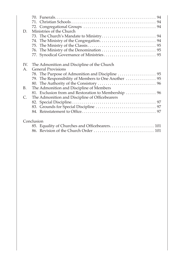| D.          | Ministries of the Church                             |
|-------------|------------------------------------------------------|
| IV.         | The Admonition and Discipline of the Church          |
| $A_{\cdot}$ | <b>General Provisions</b>                            |
|             |                                                      |
|             | 79. The Responsibility of Members to One Another  95 |
|             |                                                      |
| B.          | The Admonition and Discipline of Members             |
|             | 81. Exclusion from and Restoration to Membership  96 |
| C.          | The Admonition and Discipline of Officebearers       |
|             |                                                      |
|             |                                                      |
|             |                                                      |
|             | Conclusion                                           |
|             | 85. Equality of Churches and Officebearers 101       |
|             |                                                      |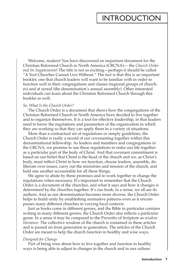### **INTRODUCTION**

Welcome, readers! You have discovered an important document for the Christian Reformed Church in North America (CRCNA)— the *Church Order and Its Supplements*! The title is not so exciting—perhaps it should be called "A Tool Churches Cannot Live Without." The fact is that this is an important booklet, one that church leaders will want to be familiar with in order to function well in their congregations and classes (regional groups of churches) and at synod (the denomination's annual assembly). Other interested individuals can learn about the Christian Reformed Church through this booklet as well.

#### *So, What Is the Church Order?*

The Church Order is a document that shows how the congregations of the Christian Reformed Church in North America have decided to live together and to organize themselves. It is a tool for effective leadership, in that leaders need to know the regulations and parameters of the organization in which they are working so that they can apply them in a variety of situations.

More than a contractual set of regulations or simply guidelines, the Church Order is really a record of our covenanting together within this denominational fellowship. As leaders and members and congregations in the CRCNA, we promise to use these regulations to order our life together as a particular part of the body of Christ. And that covenant commitment is based on our belief that Christ is the head of the church and we, as Christ's body, must reflect Christ in how we function, choose leaders, assemble, deliberate over issues, carry out the ministries and mission of the church, and hold one another accountable for all these things.

We agree to abide by these promises and to work together to change the regulations when necessary. It's important to remember that the Church Order is a document of the churches, and what it says and how it changes is determined by the churches together. It's our book; in a sense, we all are its authors. And as our denomination becomes more diverse, the Church Order helps to build unity by establishing normative patterns even as it encompasses many different churches in varying local contexts.

Just as books come in different genres, and the Bible in particular contains writing in many different genres, the Church Order also reflects a particular genre. In a sense it may be compared to the Proverbs of Scripture as *wisdom literature*. The collective wisdom of the church is contained in these articles and is passed on from generation to generation. The articles of the Church Order are meant to help the church function in healthy and wise ways.

#### *Designed for Change*

Part of being wise about how to live together and function in healthy ways is being able to adjust to changes in the church and in our culture.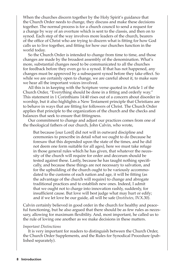When the churches discern together by the Holy Spirit's guidance that the Church Order needs to change, they discuss and make these decisions together. The normal process is for a church council to send a request for a change by way of an overture which is sent to the classis, and then on to synod. Each step of the way involves more leaders of the church, bearers of the office of Christ who are trying to discern what is fitting for how God calls us to live together, and fitting for how our churches function in the world today.

So the Church Order is intended to change from time to time, and those changes are made by the broadest assembly of the denomination. What's more, substantial changes need to be communicated to all the churches for feedback before they even go to a synod. If that has not happened, any changes must be approved by a subsequent synod before they take effect. So while we are certainly open to change, we are careful about it, to make sure we hear all the important voices involved.

All this is in keeping with the Scripture verse quoted in Article 1 of the Church Order, "Everything should be done in a fitting and orderly way." This statement in 1 Corinthians 14:40 rises out of a concern about disorder in worship, but it also highlights a New Testament principle that Christians are to behave in ways that are fitting for followers of Christ. The Church Order applies that principle to the organization of the church and the checks and balances that seek to ensure that fittingness.

Our commitment to change and adjust our practices comes from one of the theological fathers of our church, John Calvin, who wrote,

But because [our Lord] did not will in outward discipline and ceremonies to prescribe in detail what we ought to do (because he foresaw that this depended upon the state of the times, and he did not deem one form suitable for all ages), here we must take refuge in those general rules which he has given, that whatever the necessity of the church will require for order and decorum should be tested against these. Lastly, because he has taught nothing specifically, and because these things are not necessary to salvation, and for the upbuilding of the church ought to be variously accommodated to the customs of each nation and age, it will be fitting (as the advantage of the church will require) to change and abrogate traditional practices and to establish new ones. Indeed, I admit that we ought not to charge into innovation rashly, suddenly, for insufficient cause. But love will best judge what may hurt or edify; and if we let love be our guide, all will be safe (*Institutes,* IV.X.30).

Calvin certainly believed in good order in the church for healthy and peaceful functioning, but he also argued that there should be as few rules as necessary, allowing for maximum flexibility. And, most important, he called us to the rule of loving one another as we make decisions in these matters.

#### *Important Distinctions*

It is very important for readers to distinguish between the Church Order, the Church Order Supplements, and the Rules for Synodical Procedure (published separately).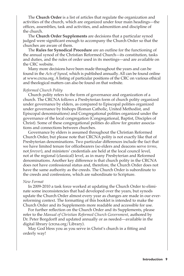The **Church Order** is a list of articles that regulate the organization and activities of the church, which are organized under four main headings—the offices, assemblies, task and activities, and admonition and discipline of the church.

The **Church Order Supplements** are decisions that a particular synod judged were significant enough to accompany the Church Order so that the churches are aware of them.

The **Rules for Synodical Procedure** are an outline for the functioning of the annual synod of the Christian Reformed Church—its constitution, tasks and duties, and the rules of order used in its meetings—and are available on the CRC website.

Many more decisions have been made throughout the years and can be found in the *Acts of Synod*, which is published annually. All can be found online at www.crcna.org. A listing of particular positions of the CRC on various ethical and theological matters can also be found on that website.

#### *Reformed Church Polity*

Church polity refers to the form of governance and organization of a church. The CRCNA follows a Presbyterian form of church polity organized under governance by elders, as compared to Episcopal polities organized under governance by bishops (Roman Catholic, United Methodist, and Episcopal denominations) and Congregational polities organized under the governance of the local congregation (Congregational, Baptist, Disciples of Christ). Some of these congregational polities do allow for greater associations and connections between churches.

Governance by elders is assumed throughout the Christian Reformed Church Order, but please note that CRCNA polity is not exactly like that of Presbyterian denominations. Two particular differences include the fact that we have limited tenure for officebearers (so elders and deacons serve *terms*, not *forever*), and ministers' credentials are held at the local council level, not at the regional (classical) level, as in many Presbyterian and Reformed denominations. Another key difference is that church polity in the CRCNA does not have confessional status and, therefore, the Church Order does not have the same authority as the creeds. The Church Order is subordinate to the creeds and confessions, which are subordinate to Scripture.

#### *New Format*

In 2009-2010 a task force worked at updating the Church Order to eliminate some inconsistencies that had developed over the years, but synods update the Church Order almost every year as changes are made in our everreforming context. The formatting of this booklet is intended to make the Church Order and its Supplements more readable and accessible for use.

For further reflection on the Church Order and its Supplements, please refer to the *Manual of Christian Reformed Church Government*, authored by Dr. Peter Borgdorff and updated annually or as needed—available in the digital library (crcna.org/Library).

May God bless you as you serve in Christ's church in a fitting and orderly way!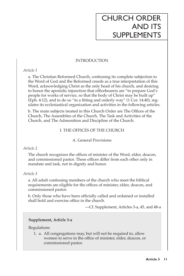### CHURCH ORDER AND ITS SUPPLEMENTS

#### INTRODUCTION

#### *Article 1*

a. The Christian Reformed Church, confessing its complete subjection to the Word of God and the Reformed creeds as a true interpretation of this Word, acknowledging Christ as the only head of his church, and desiring to honor the apostolic injunction that officebearers are "to prepare God's people for works of service, so that the body of Christ may be built up" (Eph. 4:12), and to do so "in a fitting and orderly way" (1 Cor. 14:40), regulates its ecclesiastical organization and activities in the following articles.

b. The main subjects treated in this Church Order are The Offices of the Church, The Assemblies of the Church, The Task and Activities of the Church, and The Admonition and Discipline of the Church.

#### I. THE OFFICES OF THE CHURCH

#### A. General Provisions

#### *Article 2*

The church recognizes the offices of minister of the Word, elder, deacon, and commissioned pastor. These offices differ from each other only in mandate and task, not in dignity and honor.

#### *Article 3*

a. All adult confessing members of the church who meet the biblical requirements are eligible for the offices of minister, elder, deacon, and commissioned pastor.

b. Only those who have been officially called and ordained or installed shall hold and exercise office in the church.

—Cf. Supplement, Articles 3-a, 45, and 48-a

#### **Supplement, Article 3-a**

Regulations

1. a. All congregations may, but will not be required to, allow women to serve in the office of minister, elder, deacon, or commissioned pastor.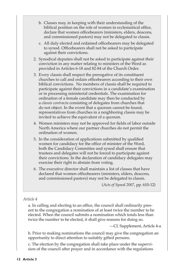- b. Classes may, in keeping with their understanding of the biblical position on the role of women in ecclesiastical office, declare that women officebearers (ministers, elders, deacons, and commissioned pastors) may not be delegated to classis.
- c. All duly elected and ordained officebearers may be delegated to synod. Officebearers shall not be asked to participate against their convictions.
- 2. Synodical deputies shall not be asked to participate against their conviction in any matter relating to ministers of the Word as provided in Articles 6-18 and 82-84 of the Church Order.
- 3. Every classis shall respect the prerogative of its constituent churches to call and ordain officebearers according to their own biblical convictions. No members of classis shall be required to participate against their convictions in a candidate's examination or in processing ministerial credentials. The examination for ordination of a female candidate may then be conducted by a *classis contracta* consisting of delegates from churches that do not object. In the event that a quorum cannot be found, representatives from churches in a neighboring classis may be invited to achieve the equivalent of a quorum.
- 4. Women ministers may not be approved for fields of labor outside North America where our partner churches do not permit the ordination of women.
- 5. In the consideration of applications submitted by qualified women for candidacy for the office of minister of the Word, both the Candidacy Committee and synod shall ensure that trustees and delegates will not be forced to participate against their convictions. In the declaration of candidacy delegates may exercise their right to abstain from voting.
- 6. The executive director shall maintain a list of classes that have declared that women officebearers (ministers, elders, deacons, and commissioned pastors) may not be delegated to classis.

(*Acts of Synod 2007*, pp. 610-12)

#### *Article 4*

a. In calling and electing to an office, the council shall ordinarily present to the congregation a nomination of at least twice the number to be elected. When the council submits a nomination which totals less than twice the number to be elected, it shall give reasons for doing so.

—Cf. Supplement, Article 4-a

b. Prior to making nominations the council may give the congregation an opportunity to direct attention to suitably gifted persons.

c. The election by the congregation shall take place under the supervision of the council after prayer and in accordance with the regulations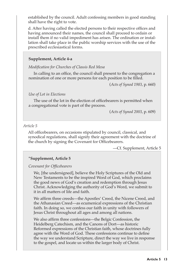established by the council. Adult confessing members in good standing shall have the right to vote.

d. After having called the elected persons to their respective offices and having announced their names, the council shall proceed to ordain or install them if no valid impediment has arisen. The ordination or installation shall take place in the public worship services with the use of the prescribed ecclesiastical forms.

#### **Supplement, Article 4-a**

*Modification for Churches of Classis Red Mesa*

In calling to an office, the council shall present to the congregation a nomination of one or more persons for each position to be filled.

(*Acts of Synod 1983*, p. 660)

#### *Use of Lot in Elections*

The use of the lot in the election of officebearers is permitted when a congregational vote is part of the process.

(*Acts of Synod 2003*, p. 609)

#### *Article 5*

All officebearers, on occasions stipulated by council, classical, and synodical regulations, shall signify their agreement with the doctrine of the church by signing the Covenant for Officebearers.

—Cf. Supplement, Article 5

#### **\*Supplement, Article 5**

#### *Covenant for Officebearers*

We, [the undersigned], believe the Holy Scriptures of the Old and New Testaments to be the inspired Word of God, which proclaims the good news of God's creation and redemption through Jesus Christ. Acknowledging the authority of God's Word, we submit to it in all matters of life and faith.

We affirm three creeds—the Apostles' Creed, the Nicene Creed, and the Athanasian Creed—as ecumenical expressions of the Christian faith. In doing so, we confess our faith in unity with followers of Jesus Christ throughout all ages and among all nations.

We also affirm three confessions—the Belgic Confession, the Heidelberg Catechism, and the Canons of Dort—as historic Reformed expressions of the Christian faith, whose doctrines fully agree with the Word of God. These confessions continue to define the way we understand Scripture, direct the way we live in response to the gospel, and locate us within the larger body of Christ.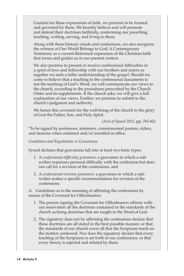Grateful for these expressions of faith, we promise to be formed and governed by them. We heartily believe and will promote and defend their doctrines faithfully, conforming our preaching, teaching, writing, serving, and living to them.

Along with these historic creeds and confessions, we also recognize the witness of Our World Belongs to God: A Contemporary Testimony as a current Reformed expression of the Christian faith that forms and guides us in our present context.

We also promise to present or receive confessional difficulties in a spirit of love and fellowship with our brothers and sisters as together we seek a fuller understanding of the gospel. Should we come to believe that a teaching in the confessional documents is not the teaching of God's Word, we will communicate our views to the church, according to the procedures prescribed by the Church Order and its supplements. If the church asks, we will give a full explanation of our views. Further, we promise to submit to the church's judgment and authority.

We honor this covenant for the well-being of the church to the glory of God the Father, Son, and Holy Spirit.

(*Acts of Synod 2012*, pp. 761-62)

\*To be signed by professors, ministers, commissioned pastors, elders, and deacons when ordained and/or installed in office.

*Guidelines and Regulations re Gravamina*

Synod declares that gravamina fall into at least two basic types:

- 1. A *confessional-difficulty gravamen:* a gravamen in which a subscriber expresses personal difficulty with the confession but does not call for a revision of the confessions, and
- 2. A *confessional-revision gravamen:* a gravamen in which a subscriber makes a specific recommendation for revision of the confessions.

A. Guidelines as to the meaning of affirming the confessions by means of the Covenant for Officebearers:

- 1. The person signing the Covenant for Officebearers affirms without reservation all the doctrines contained in the standards of the church as being doctrines that are taught in the Word of God.
- 2. The signatory does not by affirming the confessions declare that these doctrines are all stated in the best possible manner, or that the standards of our church cover all that the Scriptures teach on the matters confessed. Nor does the signatory declare that every teaching of the Scriptures is set forth in our confessions, or that every heresy is rejected and refuted by them.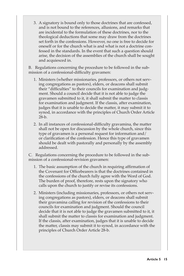3. A signatory is bound only to those doctrines that are confessed, and is not bound to the references, allusions, and remarks that are incidental to the formulation of these doctrines, nor to the theological deductions that some may draw from the doctrines set forth in the confessions. However, no one is free to decide for oneself or for the church what is and what is not a doctrine confessed in the standards. In the event that such a question should arise, the decision of the assemblies of the church shall be sought and acquiesced in.

B. Regulations concerning the procedure to be followed in the submission of a confessional-difficulty gravamen:

- 1. Ministers (whether missionaries, professors, or others not serving congregations as pastors), elders, or deacons shall submit their "difficulties" to their councils for examination and judgment. Should a council decide that it is not able to judge the gravamen submitted to it, it shall submit the matter to classis for examination and judgment. If the classis, after examination, judges that it is unable to decide the matter, it may submit it to synod, in accordance with the principles of Church Order Article 28-b.
- 2. In all instances of confessional-difficulty gravamina, the matter shall not be open for discussion by the whole church, since this type of gravamen is a personal request for information and/ or clarification of the confession. Hence this type of gravamen should be dealt with pastorally and personally by the assembly addressed.

C. Regulations concerning the procedure to be followed in the submission of a confessional-revision gravamen:

- 1. The basic assumption of the church in requiring affirmation of the Covenant for Officebearers is that the doctrines contained in the confessions of the church fully agree with the Word of God. The burden of proof, therefore, rests upon the signatory who calls upon the church to justify or revise its confessions.
- 2. Ministers (including missionaries, professors, or others not serving congregations as pastors), elders, or deacons shall submit their gravamina calling for revision of the confessions to their councils for examination and judgment. Should the council decide that it is not able to judge the gravamen submitted to it, it shall submit the matter to classis for examination and judgment. If the classis, after examination, judges that it is unable to decide the matter, classis may submit it to synod, in accordance with the principles of Church Order Article 28-b.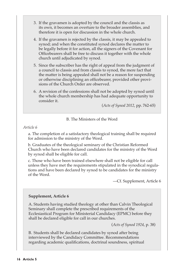- 3. If the gravamen is adopted by the council and the classis as its own, it becomes an overture to the broader assemblies, and therefore it is open for discussion in the whole church.
- 4. If the gravamen is rejected by the classis, it may be appealed to synod; and when the constituted synod declares the matter to be legally before it for action, all the signers of the Covenant for Officebearers shall be free to discuss it together with the whole church until adjudicated by synod.
- 5. Since the subscriber has the right of appeal from the judgment of a council to classis and from classis to synod, the mere fact that the matter is being appealed shall not be a reason for suspending or otherwise disciplining an officebearer, provided other provisions of the Church Order are observed.
- 6. A revision of the confessions shall not be adopted by synod until the whole church membership has had adequate opportunity to consider it.

(*Acts of Synod 2012*, pp. 762-65)

#### B. The Ministers of the Word

#### *Article 6*

a. The completion of a satisfactory theological training shall be required for admission to the ministry of the Word.

b. Graduates of the theological seminary of the Christian Reformed Church who have been declared candidates for the ministry of the Word by synod shall be eligible for call.

c. Those who have been trained elsewhere shall not be eligible for call unless they have met the requirements stipulated in the synodical regulations and have been declared by synod to be candidates for the ministry of the Word.

—Cf. Supplement, Article 6

#### **Supplement, Article 6**

A. Students having studied theology at other than Calvin Theological Seminary shall complete the prescribed requirements of the Ecclesiastical Program for Ministerial Candidacy (EPMC) before they shall be declared eligible for call in our churches.

(*Acts of Synod 1924*, p. 38)

B. Students shall be declared candidates by synod after being interviewed by the Candidacy Committee. Recommendations regarding academic qualifications, doctrinal soundness, spiritual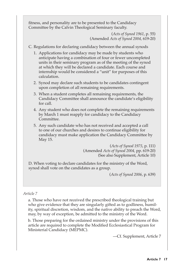fitness, and personality are to be presented to the Candidacy Committee by the Calvin Theological Seminary faculty.

> (*Acts of Synod 1961*, p. 55) (Amended *Acts of Synod 2004,* 619-20)

- C. Regulations for declaring candidacy between the annual synods
	- 1. Applications for candidacy may be made by students who anticipate having a combination of four or fewer uncompleted units in their seminary program as of the meeting of the synod at which they will be declared a candidate. Each course and internship would be considered a "unit" for purposes of this calculation.
	- 2. Synod may declare such students to be candidates contingent upon completion of all remaining requirements.
	- 3. When a student completes all remaining requirements, the Candidacy Committee shall announce the candidate's eligibility for call.
	- 4. Any student who does not complete the remaining requirements by March 1 must reapply for candidacy to the Candidacy Committee.
	- 5. Any such candidate who has not received and accepted a call to one of our churches and desires to continue eligibility for candidacy must make application the Candidacy Committee by May 15.

(*Acts of Synod 1975*, p. 111) (Amended *Acts of Synod 2004,* pp. 619-20) (See also Supplement, Article 10)

D. When voting to declare candidates for the ministry of the Word, synod shall vote on the candidates as a group.

(*Acts of Synod 2006*, p. 639)

#### *Article 7*

a. Those who have not received the prescribed theological training but who give evidence that they are singularly gifted as to godliness, humility, spiritual discretion, wisdom, and the native ability to preach the Word, may, by way of exception, be admitted to the ministry of the Word.

b. Those preparing for the ordained ministry under the provisions of this article are required to complete the Modified Ecclesiastical Program for Ministerial Candidacy (MEPMC).

—Cf. Supplement, Article 7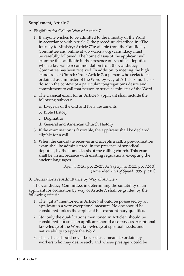#### **Supplement, Article 7**

A. Eligibility for Call by Way of Article 7

- 1. If anyone wishes to be admitted to the ministry of the Word in accordance with Article 7, the procedure described in "The Journey to Ministry: Article 7"available from the Candidacy Committee and online at www.crcna.org/candidacy must be carefully followed. The home classis of the applicant will examine the candidate in the presence of synodical deputies when a favorable recommendation from the Candidacy Committee has been received. In addition to meeting the high standards of Church Order Article 7, a person who seeks to be ordained as a minister of the Word by way of Article 7 must also do so in the context of a particular congregation's desire and commitment to call that person to serve as minister of the Word.
- 2. The classical exam for an Article 7 applicant shall include the following subjects:
	- a. Exegesis of the Old and New Testaments
	- b. Bible History
	- c. Dogmatics
	- d. General and American Church History
- 3. If the examination is favorable, the applicant shall be declared eligible for a call.
- 4. When the candidate receives and accepts a call, a pre-ordination exam shall be administered, in the presence of synodical deputies, by the home classis of the calling church. This exam shall be in accordance with existing regulations, excepting the ancient languages.

(*Agenda 1920*, pp. 26-27; *Acts of Synod 1922*, pp. 72-73) (Amended *Acts of Synod 1996*, p. 581)

B. Declarations re Admittance by Way of Article 7

The Candidacy Committee, in determining the suitability of an applicant for ordination by way of Article 7, shall be guided by the following criteria:

- 1. The "gifts" mentioned in Article 7 should be possessed by an applicant in a very exceptional measure. No one should be considered unless the applicant has extraordinary qualities.
- 2. Not only the qualifications mentioned in Article 7 should be considered but such an applicant should also possess exceptional knowledge of the Word, knowledge of spiritual needs, and native ability to apply the Word.
- 3. This article should never be used as a means to ordain lay workers who may desire such, and whose prestige would be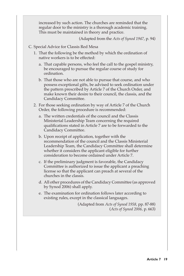increased by such action. The churches are reminded that the regular door to the ministry is a thorough academic training. This must be maintained in theory and practice.

(Adapted from the *Acts of Synod 1947*, p. 94)

- C. Special Advice for Classis Red Mesa
	- 1. That the following be the method by which the ordination of native workers is to be effected:
		- a. That capable persons, who feel the call to the gospel ministry, be encouraged to pursue the regular course of study for ordination.
		- b. That those who are not able to pursue that course, and who possess exceptional gifts, be advised to seek ordination under the pattern prescribed by Article 7 of the Church Order, and make known their desire to their council, the classis, and the Candidacy Committee.
	- 2. For those seeking ordination by way of Article 7 of the Church Order, the following procedure is recommended:
		- a. The written credentials of the council and the Classis Ministerial Leadership Team concerning the required qualifications stated in Article 7 are to be forwarded to the Candidacy Committee.
		- b. Upon receipt of application, together with the recommendation of the council and the Classis Ministerial Leadership Team, the Candidacy Committee shall determine whether it considers the applicant eligible for further consideration to become ordained under Article 7.
		- c. If the preliminary judgment is favorable, the Candidacy Committee is authorized to issue the applicant a preaching license so that the applicant can preach at several of the churches in the classis.
		- d. All other procedures of the Candidacy Committee (as approved by Synod 2006) shall apply.
		- e. The examination for ordination follows later according to existing rules, except in the classical languages.

(Adapted from *Acts of Synod 1958*, pp. 87-88) (*Acts of Synod 2006,* p. 663)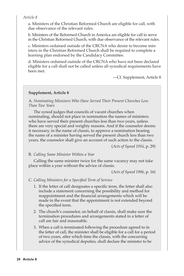#### *Article 8*

a. Ministers of the Christian Reformed Church are eligible for call, with due observance of the relevant rules.

b. Ministers of the Reformed Church in America are eligible for call to serve in the Christian Reformed Church, with due observance of the relevant rules.

c. Ministers ordained outside of the CRCNA who desire to become ministers in the Christian Reformed Church shall be required to complete a learning plan endorsed by the Candidacy Committee.

d. Ministers ordained outside of the CRCNA who have not been declared eligible for a call shall not be called unless all synodical requirements have been met.

—Cf. Supplement, Article 8

#### **Supplement, Article 8**

A. *Nominating Ministers Who Have Served Their Present Churches Less Than Two Years*

The synod judges that councils of vacant churches when nominating, should not place in nomination the names of ministers who have served their present churches less than two years, unless there are very special and weighty reasons. And if the counselor deems it necessary, in the name of classis, to approve a nomination bearing the name of a minister having served the present church less than two years, the counselor shall give an account of such action to the classis.

(*Acts of Synod 1916*, p. 29)

#### B. *Calling Same Minister Within a Year*

Calling the same minister twice for the same vacancy may not take place within a year without the advice of classis.

(*Acts of Synod 1906*, p. 16)

C. *Calling Ministers for a Specified Term of Service*

- 1. If the letter of call designates a specific term, the letter shall also include a statement concerning the possibility and method for reappointment and the financial arrangements which will be made in the event that the appointment is not extended beyond the specified term.
- 2. The church's counselor, on behalf of classis, shall make sure the termination procedures and arrangements stated in a letter of call are fair and reasonable.
- 3. When a call is terminated following the procedure agreed to in the letter of call, the minister shall be eligible for a call for a period of two years, after which time the classis, with the concurring advice of the synodical deputies, shall declare the minister to be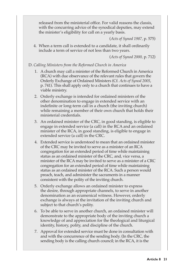released from the ministerial office. For valid reasons the classis, with the concurring advice of the synodical deputies, may extend the minister's eligibility for call on a yearly basis.

(*Acts of Synod 1987,* p. 575)

4. When a term call is extended to a candidate, it shall ordinarily include a term of service of not less than two years.

(*Acts of Synod 2000,* p. 712)

#### D. *Calling Ministers from the Reformed Church in America*

- 1. A church may call a minister of the Reformed Church in America (RCA) with due observance of the relevant rules that govern the Orderly Exchange of Ordained Ministers (Cf. *Acts of Synod 2005*, p. 741). This shall apply only to a church that continues to have a viable ministry.
- 2. Orderly exchange is intended for ordained ministers of the other denomination to engage in extended service with an indefinite or long-term call in a church (the inviting church) while remaining a member of their own church that holds their ministerial credentials.
- 3. An ordained minister of the CRC, in good standing, is eligible to engage in extended service (a call) in the RCA and an ordained minister of the RCA, in good standing, is eligible to engage in extended service (a call) in the CRC.
- 4. Extended service is understood to mean that an ordained minister of the CRC may be invited to serve as a minister of an RCA congregation for an extended period of time while maintaining status as an ordained minister of the CRC, and, vice versa, a minister of the RCA may be invited to serve as a minister of a CRC congregation for an extended period of time while maintaining status as an ordained minister of the RCA. Such a person would preach, teach, and administer the sacraments in a manner consistent with the polity of the inviting church.
- 5. Orderly exchange allows an ordained minister to express the desire, through appropriate channels, to serve in another denomination as an ecumenical witness. However, orderly exchange is always at the invitation of the inviting church and subject to that church's polity.
- 6. To be able to serve in another church, an ordained minister will demonstrate to the appropriate body of the inviting church a knowledge of and appreciation for the theological and liturgical identity, history, polity, and discipline of the church.
- 7. Approval for extended service must be done in consultation with and with the concurrence of the sending body. (In the CRC, the sending body is the calling church council; in the RCA, it is the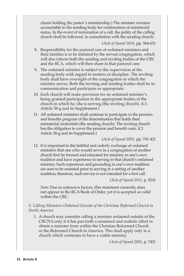classis holding the pastor's membership.) The minister remains accountable to the sending body for continuation of ministerial status. In the event of termination of a call, the polity of the calling church shall be followed, in consultation with the sending church.

#### (*Acts of Synod 2014,* pp. 564-65)

- 8. Responsibility for the pastoral care of ordained ministers and their families is to be initiated by the served congregation, which will also inform both the sending and inviting bodies of the CRC and the RCA, which will then share in that pastoral care.
- 9. The ordained minister is subject to the supervision of the sending body with regard to matters of discipline. The inviting body shall have oversight of the congregation in which the minister serves. Both the inviting and sending bodies shall be in communication and participate as appropriate.
- 10. Each church will make provision for an ordained minister's being granted participation in the appropriate bodies of the church in which he/she is serving (the inviting church). (Cf. Article 38-g and its Supplement.)
- 11. All ordained ministers shall continue to participate in the pension and benefits program of the denomination that holds their ministerial credentials (the sending church). The inviting church has the obligation to cover the pension and benefit costs. (Cf. Article 38-g and its Supplement.)

#### (*Acts of Synod 2005,* pp. 741-42)

12. It is important to the faithful and orderly exchange of ordained ministers that one who would serve in a congregation of another church first be formed and educated for ministry in one's own tradition and have experience in serving in that church's ordained ministry. Such experience and grounding in one's own tradition are seen to be essential prior to serving in a setting of another tradition; therefore, such service is not intended for a first call.

#### (*Acts of Synod 2011,* p. 824)

*Note:* Due to unknown factors, this statement currently does not appear in the RCA Book of Order, yet it is accepted as valid within the CRC.

#### *E. Calling Ministers Ordained Outside of the Christian Reformed Church in North America*

1. A church may consider calling a minister ordained outside of the CRCNA only if it has put forth a sustained and realistic effort to obtain a minister from within the Christian Reformed Church or the Reformed Church in America. This shall apply only to a church which continues to have a viable ministry.

(*Acts of Synod 2005*, p. 742)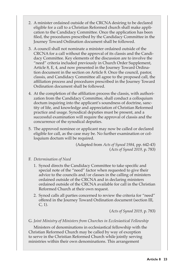- 2. A minister ordained outside of the CRCNA desiring to be declared eligible for a call to a Christian Reformed church shall make application to the Candidacy Committee. Once the application has been filed, the procedures prescribed by the Candidacy Committee in the Journey Toward Ordination document shall be followed.
- 3. A council shall not nominate a minister ordained outside of the CRCNA for a call without the approval of its classis and the Candidacy Committee. Key elements of the discussion are to involve the "need" criteria included previously in Church Order Supplement, Article 8, E, 4, and now presented in the Journey Toward Ordination document in the section on Article 8. Once the council, pastor, classis, and Candidacy Committee all agree to the proposed call, the affiliation process and procedures prescribed in the Journey Toward Ordination document shall be followed.
- 4. At the completion of the affiliation process the classis, with authorization from the Candidacy Committee, shall conduct a colloquium doctum inquiring into the applicant's soundness of doctrine, sanctity of life, and knowledge and appreciation of Christian Reformed practice and usage. Synodical deputies must be present, and a successful examination will require the approval of classis and the concurrence of the synodical deputies.
- 5. The approved nominee or applicant may now be called or declared eligible for call, as the case may be. No further examination or colloquium doctum will be required.

(Adapted from *Acts of Synod 1984,* pp. 642-43) (*Acts of Synod 2019,* p. 783)

#### F. *Determination of Need*

- 1. Synod directs the Candidacy Committee to take specific and special note of the "need" factor when requested to give their advice to the councils and/or classes in the calling of ministers ordained outside of the CRCNA and in declaring ministers ordained outside of the CRCNA available for call in the Christian Reformed Church at their own request.
- 2. Synod calls all parties concerned to review the criteria for "need" offered in the Journey Toward Ordination document (section III, C, 1).

(*Acts of Synod 2019,* p. 783)

#### G. *Joint Ministry of Ministers from Churches in Ecclesiastical Fellowship*

Ministers of denominations in ecclesiastical fellowship with the Christian Reformed Church may be called by way of exception to serve in the Christian Reformed Church while jointly serving ministries within their own denominations. This arrangement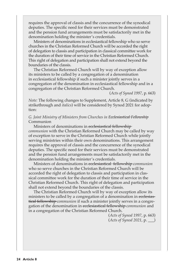requires the approval of classis and the concurrence of the synodical deputies. The specific need for their services must be demonstrated and the pension fund arrangements must be satisfactorily met in the denomination holding the minister's credentials.

Ministers of denominations in ecclesiastical fellowship who so serve churches in the Christian Reformed Church will be accorded the right of delegation to classis and participation in classical committee work for the duration of their time of service in the Christian Reformed Church. This right of delegation and participation shall not extend beyond the boundaries of the classis.

The Christian Reformed Church will by way of exception allow its ministers to be called by a congregation of a denomination in ecclesiastical fellowship if such a minister jointly serves in a congregation of the denomination in ecclesiastical fellowship and in a congregation of the Christian Reformed Church.

#### (*Acts of Synod 1997*, p. 663)

*Note:* The following changes to Supplement, Article 8, G (indicated by strikethrough and *italics*) will be considered by Synod 2021 for adoption:

#### *G. Joint Ministry of Ministers from Churches in Ecclesiastical Fellowship* Communion

Ministers of denominations in ecclesiastical fellowship*communion* with the Christian Reformed Church may be called by way of exception to serve in the Christian Reformed Church while jointly serving ministries within their own denominations. This arrangement requires the approval of classis and the concurrence of the synodical deputies. The specific need for their services must be demonstrated and the pension fund arrangements must be satisfactorily met in the denomination holding the minister's credentials.

Ministers of denominations in ecclesiastical fellowship *communion*  who so serve churches in the Christian Reformed Church will be accorded the right of delegation to classis and participation in classical committee work for the duration of their time of service in the Christian Reformed Church. This right of delegation and participation shall not extend beyond the boundaries of the classis.

The Christian Reformed Church will by way of exception allow its ministers to be called by a congregation of a denomination in ecclesiastical fellowship *communion* if such a minister jointly serves in a congregation of the denomination in ecclesiastical fellowship *communion* and in a congregation of the Christian Reformed Church.

> (*Acts of Synod 1997*, p. 663) (*Acts of Synod 2021*, p. \_\_\_)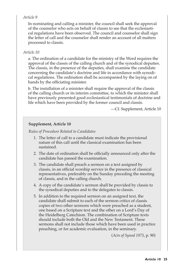#### *Article 9*

In nominating and calling a minister, the council shall seek the approval of the counselor who acts on behalf of classis to see that the ecclesiastical regulations have been observed. The council and counselor shall sign the letter of call and the counselor shall render an account of all matters processed to classis.

#### *Article 10*

a. The ordination of a candidate for the ministry of the Word requires the approval of the classis of the calling church and of the synodical deputies. The classis, in the presence of the deputies, shall examine the candidate concerning the candidate's doctrine and life in accordance with synodical regulations. The ordination shall be accompanied by the laying on of hands by the officiating minister.

b. The installation of a minister shall require the approval of the classis of the calling church or its interim committee, to which the minister shall have previously presented good ecclesiastical testimonials of doctrine and life which have been provided by the former council and classis.

—Cf. Supplement, Article 10

#### **Supplement, Article 10**

*Rules of Procedure Related to Candidates*

- 1. The letter of call to a candidate must indicate the provisional nature of this call until the classical examination has been sustained.
- 2. The date of ordination shall be officially announced only after the candidate has passed the examination.
- 3. The candidate shall preach a sermon on a text assigned by classis, in an official worship service in the presence of classical representatives, preferably on the Sunday preceding the meeting of classis, and in the calling church.
- 4. A copy of the candidate's sermon shall be provided by classis to the synodical deputies and to the delegates to classis.
- 5. In addition to the required sermon on an assigned text, the candidate shall submit to each of the sermon critics of classis copies of two other sermons which were preached as a student, one based on a Scripture text and the other on a Lord's Day of the Heidelberg Catechism. The combination of Scripture texts should include both the Old and the New Testament. These sermons shall not include those which have been used in practice preaching, or for academic evaluation, in the seminary.

(*Acts of Synod 1975*, p. 90)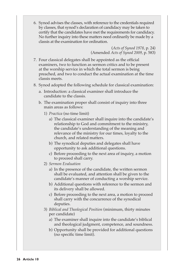6. Synod advises the classes, with reference to the credentials required by classes, that synod's declaration of candidacy may be taken to certify that the candidates have met the requirements for candidacy. No further inquiry into these matters need ordinarily be made by a classis at the examination for ordination.

> (*Acts of Synod 1978*, p. 24) (Amended *Acts of Synod 2009*, p. 583)

- 7. Four classical delegates shall be appointed as the official examiners, two to function as sermon critics and to be present at the worship service in which the total sermon is being preached, and two to conduct the actual examination at the time classis meets.
- 8. Synod adopted the following schedule for classical examination:
	- a. Introduction: a classical examiner shall introduce the candidate to the classis*.*
	- b. The examination proper shall consist of inquiry into three main areas as follows:
		- 1) *Practica* (no time limit)
			- a) The classical examiner shall inquire into the candidate's relationship to God and commitment to the ministry, the candidate's understanding of the meaning and relevance of the ministry for our times, loyalty to the church, and related matters.
			- b) The synodical deputies and delegates shall have opportunity to ask additional questions.
			- c) Before proceeding to the next area of inquiry, a motion to proceed shall carry.
		- 2) *Sermon Evaluation*
			- a) In the presence of the candidate, the written sermon shall be evaluated, and attention shall be given to the candidate's manner of conducting a worship service.
			- b) Additional questions with reference to the sermon and its delivery shall be allowed.
			- c) Before proceeding to the next area, a motion to proceed shall carry with the concurrence of the synodical deputies.
		- 3) *Biblical and Theological Position* (minimum, thirty minutes per candidate)
			- a) The examiner shall inquire into the candidate's biblical and theological judgment, competence, and soundness.
			- b) Opportunity shall be provided for additional questions (no specific time limit).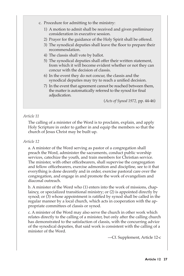- c. Procedure for admitting to the ministry:
	- 1) A motion to admit shall be received and given preliminary consideration in executive session.
	- 2) Prayer for the guidance of the Holy Spirit shall be offered.
	- 3) The synodical deputies shall leave the floor to prepare their recommendation.
	- 4) The classis shall vote by ballot.
	- 5) The synodical deputies shall offer their written statement, from which it will become evident whether or not they can concur with the decision of classis.
	- 6) In the event they do not concur, the classis and the synodical deputies may try to reach a unified decision.
	- 7) In the event that agreement cannot be reached between them, the matter is automatically referred to the synod for final adjudication.

(*Acts of Synod 1972,* pp. 44-46)

#### *Article 11*

The calling of a minister of the Word is to proclaim, explain, and apply Holy Scripture in order to gather in and equip the members so that the church of Jesus Christ may be built up.

#### *Article 12*

a. A minister of the Word serving as pastor of a congregation shall preach the Word, administer the sacraments, conduct public worship services, catechize the youth, and train members for Christian service. The minister, with other officebearers, shall supervise the congregation and fellow officebearers, exercise admonition and discipline, see to it that everything is done decently and in order, exercise pastoral care over the congregation, and engage in and promote the work of evangelism and diaconal outreach.

b. A minister of the Word who (1) enters into the work of missions, chaplaincy, or specialized transitional ministry; or (2) is appointed directly by synod; or (3) whose appointment is ratified by synod shall be called in the regular manner by a local church, which acts in cooperation with the appropriate committees of classis or synod.

c. A minister of the Word may also serve the church in other work which relates directly to the calling of a minister, but only after the calling church has demonstrated to the satisfaction of classis, with the concurring advice of the synodical deputies, that said work is consistent with the calling of a minister of the Word.

—Cf. Supplement, Article 12-c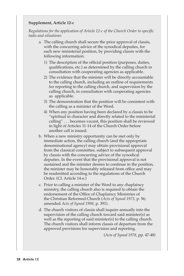#### **Supplement, Article 12-c**

*Regulations for the application of Article 12-c of the Church Order to specific tasks and situations:*

- a. The calling church shall secure the prior approval of classis, with the concurring advice of the synodical deputies, for each new ministerial position, by providing classis with the following information:
	- 1) The description of the official position (purposes, duties, qualifications, etc.) as determined by the calling church in consultation with cooperating agencies as applicable.
	- 2) The evidence that the minister will be directly accountable to the calling church, including an outline of requirements for reporting to the calling church, and supervision by the calling church, in consultation with cooperating agencies as applicable.
	- 3) The demonstration that the position will be consistent with the calling as a minister of the Word.
	- 4) When any position having been declared by a classis to be "spiritual in character and directly related to the ministerial calling" . . . becomes vacant, this position shall be reviewed in light of Articles 11-14 of the Church Order before another call is issued.
- b. When a new ministry opportunity can be met only by immediate action, the calling church (and the appropriate denominational agency) may obtain provisional approval from the classical committee, subject to subsequent approval by classis with the concurring advice of the synodical deputies. In the event that the provisional approval is not sustained and the minister desires to continue in the position, the minister may be honorably released from office and may be readmitted according to the regulations of the Church Order. (Cf. Article 14-e.)
- c. Prior to calling a minister of the Word to any chaplaincy ministry, the calling church also is required to obtain the endorsement of the Office of Chaplaincy Ministries of the Christian Reformed Church (*Acts of Synod 1973,* p. 56; amended *Acts of Synod 1998,* p. 391).
- d. The church visitors of classis shall inquire annually into the supervision of the calling church toward said minister(s) as well as the reporting of said minister(s) to the calling church. The church visitors shall inform classis of departure from the approved provisions for supervision and reporting.

(*Acts of Synod 1978*, pp. 47-48)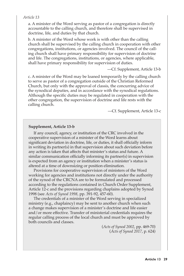#### *Article 13*

a. A minister of the Word serving as pastor of a congregation is directly accountable to the calling church, and therefore shall be supervised in doctrine, life, and duties by that church.

b. A minister of the Word whose work is with other than the calling church shall be supervised by the calling church in cooperation with other congregations, institutions, or agencies involved. The council of the calling church shall have primary responsibility for supervision of doctrine and life. The congregations, institutions, or agencies, where applicable, shall have primary responsibility for supervision of duties.

—Cf. Supplement, Article 13-b

c. A minister of the Word may be loaned temporarily by the calling church to serve as pastor of a congregation outside of the Christian Reformed Church, but only with the approval of classis, the concurring advice of the synodical deputies, and in accordance with the synodical regulations. Although the specific duties may be regulated in cooperation with the other congregation, the supervision of doctrine and life rests with the calling church.

—Cf. Supplement, Article 13-c

#### **Supplement, Article 13-b**

If any council, agency, or institution of the CRC involved in the cooperative supervision of a minister of the Word learns about significant deviation in doctrine, life, or duties, it shall officially inform in writing its partner(s) in that supervision about such deviation before any action is taken that affects that minister's status and future. A similar communication officially informing its partner(s) in supervision is expected from an agency or institution when a minister's status is altered at a time of downsizing or position elimination.

Provisions for cooperative supervision of ministers of the Word working for agencies and institutions not directly under the authority of the synod of the CRCNA are to be formulated and processed according to the regulations contained in Church Order Supplement, Article 12-c and the provisions regarding chaplains adopted by Synod 1998 (see *Acts of Synod 1998,* pp. 391-92, 457-60).

The credentials of a minister of the Word serving in specialized ministry (e.g., chaplaincy) may be sent to another church when such a change makes supervision of a minister's doctrine and life easier and/or more effective. Transfer of ministerial credentials requires the regular calling process of the local church and must be approved by both councils and classes.

> (*Acts of Synod 2002*, pp. 469-70) (*Acts of Synod 2017*, p. 624)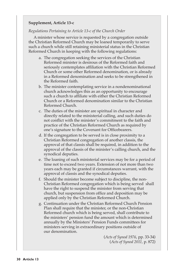#### **Supplement, Article 13-c**

#### *Regulations Pertaining to Article 13-c of the Church Order*

A minister whose service is requested by a congregation outside the Christian Reformed Church may be loaned temporarily to serve such a church while still retaining ministerial status in the Christian Reformed Church in keeping with the following regulations:

- a. The congregation seeking the services of the Christian Reformed minister is desirous of the Reformed faith and seriously contemplates affiliation with the Christian Reformed Church or some other Reformed denomination, or is already in a Reformed denomination and seeks to be strengthened in the Reformed faith.
- b. The minister contemplating service in a nondenominational church acknowledges this as an opportunity to encourage such a church to affiliate with either the Christian Reformed Church or a Reformed denomination similar to the Christian Reformed Church.
- c. The duties of the minister are spiritual in character and directly related to the ministerial calling, and such duties do not conflict with the minister's commitment to the faith and practice of the Christian Reformed Church as required by one's signature to the Covenant for Officebearers.
- d. If the congregation to be served is in close proximity to a Christian Reformed congregation of another classis, the approval of that classis shall be required, in addition to the approval of the classis of the minister's calling church, and the synodical deputies.
- e. The loaning of such ministerial services may be for a period of time not to exceed two years. Extension of not more than two years each may be granted if circumstances warrant, with the approval of classis and the synodical deputies.
- f. Should the minister become subject to discipline, the non-Christian Reformed congregation which is being served shall have the right to suspend the minister from serving that church, but suspension from office and deposition may be applied only by the Christian Reformed Church.
- g. Continuation under the Christian Reformed Church Pension Plan shall require that the minister, or the non-Christian Reformed church which is being served, shall contribute to the ministers' pension fund the amount which is determined annually by the Ministers' Pension Funds committees for ministers serving in extraordinary positions outside of our denomination.

(*Acts of Synod 1976*, pp. 33-34) (*Acts of Synod 2011,* p. 872)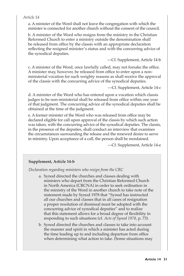#### *Article 14*

a. A minister of the Word shall not leave the congregation with which the minister is connected for another church without the consent of the council.

b. A minister of the Word who resigns from the ministry in the Christian Reformed Church to enter a ministry outside the denomination shall be released from office by the classis with an appropriate declaration reflecting the resigned minister's status and with the concurring advice of the synodical deputies.

—Cf. Supplement, Article 14-b

c. A minister of the Word, once lawfully called, may not forsake the office. A minister may, however, be released from office to enter upon a nonministerial vocation for such weighty reasons as shall receive the approval of the classis with the concurring advice of the synodical deputies.

—Cf. Supplement, Article 14-c

d. A minister of the Word who has entered upon a vocation which classis judges to be non-ministerial shall be released from office within one year of that judgment. The concurring advice of the synodical deputies shall be obtained at the time of the judgment.

e. A former minister of the Word who was released from office may be declared eligible for call upon approval of the classis by which such action was taken, with the concurring advice of the synodical deputies. The classis, in the presence of the deputies, shall conduct an interview that examines the circumstances surrounding the release and the renewed desire to serve in ministry. Upon acceptance of a call, the person shall be reordained.

—Cf. Supplement, Article 14-e

#### **Supplement, Article 14-b**

*Declaration regarding ministers who resign from the CRC*

- a. Synod directed the churches and classes dealing with ministers who depart from the Christian Reformed Church in North America (CRCNA) in order to seek ordination in the ministry of the Word in another church to take note of the statement made by Synod 1978 that "Synod has instructed all our churches and classes that in all cases of resignation a proper resolution of dismissal must be adopted with the concurring advice of synodical deputies" and to realize that this statement allows for a broad degree of flexibility in responding to such situations (cf. *Acts of Synod 1978*, p. 73).
- b. Synod directed the churches and classes to take into account the manner and spirit in which a minister has acted during the time leading up to and including departure from office when determining what action to take. (Some situations may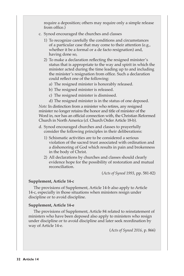require a deposition; others may require only a simple release from office.)

- c. Synod encouraged the churches and classes
	- 1) To recognize carefully the conditions and circumstances of a particular case that may come to their attention (e.g., whether it be a formal or a de facto resignation) and, having done so,
	- 2) To make a declaration reflecting the resigned minister's status that is appropriate to the way and spirit in which the minister acted during the time leading up to and including the minister's resignation from office. Such a declaration could reflect one of the following:
		- a) The resigned minister is honorably released.
		- b) The resigned minister is released.
		- c) The resigned minister is dismissed.
		- d) The resigned minister is in the status of one deposed.

*Note:* In distinction from a minister who retires, any resigned minister no longer retains the honor and title of minister of the Word in, nor has an official connection with, the Christian Reformed Church in North America (cf. Church Order Article 18-b).

- d. Synod encouraged churches and classes to prayerfully consider the following principles in their deliberations:
	- 1) Schismatic activities are to be considered a serious violation of the sacred trust associated with ordination and a dishonoring of God which results in pain and brokenness in the body of Christ.
	- 2) All declarations by churches and classes should clearly evidence hope for the possibility of restoration and mutual reconciliation.

(*Acts of Synod 1993*, pp. 581-82)

#### **Supplement, Article 14-c**

The provisions of Supplement, Article 14-b also apply to Article 14-c, especially in those situations when ministers resign under discipline or to avoid discipline.

#### **Supplement, Article 14-e**

The provisions of Supplement, Article 84 related to reinstatement of ministers who have been deposed also apply to ministers who resign under discipline or to avoid discipline and later seek reordination by way of Article 14-e.

(*Acts of Synod 2016*, p. 866)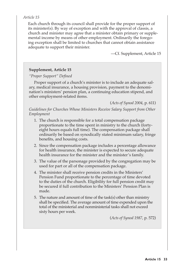#### *Article 15*

Each church through its council shall provide for the proper support of its minister(s). By way of exception and with the approval of classis, a church and minister may agree that a minister obtain primary or supplemental income by means of other employment. Ordinarily the foregoing exception shall be limited to churches that cannot obtain assistance adequate to support their minister.

—Cf. Supplement, Article 15

#### **Supplement, Article 15**

#### *"Proper Support" Defined*

Proper support of a church's minister is to include an adequate salary, medical insurance, a housing provision, payment to the denomination's ministers' pension plan, a continuing education stipend, and other employment-related items.

(*Acts of Synod 2004*, p. 611)

*Guidelines for Churches Whose Ministers Receive Salary Support from Other Employment*

- 1. The church is responsible for a total compensation package proportionate to the time spent in ministry to the church (fortyeight hours equals full time). The compensation package shall ordinarily be based on synodically stated minimum salary, fringe benefits, and housing costs.
- 2. Since the compensation package includes a percentage allowance for health insurance, the minister is expected to secure adequate health insurance for the minister and the minister's family.
- 3. The value of the parsonage provided by the congregation may be used for part or all of the compensation package.
- 4. The minister shall receive pension credits in the Ministers' Pension Fund proportionate to the percentage of time devoted to the duties of the church. Eligibility for full pension credit may be secured if full contribution to the Ministers' Pension Plan is made.
- 5. The nature and amount of time of the task(s) other than ministry shall be specified. The average amount of time expended upon the total of the ministerial and nonministerial tasks shall not exceed sixty hours per week.

(*Acts of Synod 1987*, p. 572)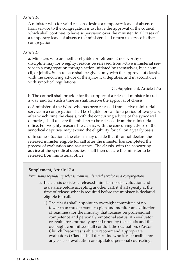#### *Article 16*

A minister who for valid reasons desires a temporary leave of absence from service to the congregation must have the approval of the council, which shall continue to have supervision over the minister. In all cases of a temporary leave of absence the minister shall return to service in that congregation.

#### *Article 17*

a. Ministers who are neither eligible for retirement nor worthy of discipline may for weighty reasons be released from active ministerial service in a congregation through action initiated by themselves, by a council, or jointly. Such release shall be given only with the approval of classis, with the concurring advice of the synodical deputies, and in accordance with synodical regulations.

—Cf. Supplement, Article 17-a

b. The council shall provide for the support of a released minister in such a way and for such a time as shall receive the approval of classis.

c. A minister of the Word who has been released from active ministerial service in a congregation shall be eligible for call for a period of two years, after which time the classis, with the concurring advice of the synodical deputies, shall declare the minister to be released from the ministerial office. For weighty reasons the classis, with the concurring advice of the synodical deputies, may extend the eligibility for call on a yearly basis.

d. In some situations, the classis may decide that it cannot declare the released minister eligible for call after the minister has completed the process of evaluation and assistance. The classis, with the concurring advice of the synodical deputies, shall then declare the minister to be released from ministerial office.

#### **Supplement, Article 17-a**

*Provisions regulating release from ministerial service in a congregation*

- a. If a classis decides a released minister needs evaluation and assistance before accepting another call, it shall specify at the time of release what is required before the minister is declared eligible for call.
	- 1) The classis shall appoint an oversight committee of no fewer than three persons to plan and monitor an evaluation of readiness for the ministry that focuses on professional competence and personal/ emotional status. An evaluator or evaluators mutually agreed upon by the classis and the oversight committee shall conduct the evaluation. (Pastor Church Resources is able to recommend appropriate evaluators.) Classis shall determine who is responsible for any costs of evaluation or stipulated personal counseling.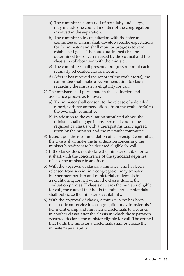- a) The committee, composed of both laity and clergy, may include one council member of the congregation involved in the separation.
- b) The committee, in consultation with the interim committee of classis, shall develop specific expectations for the minister and shall monitor progress toward established goals. The issues addressed shall be determined by concerns raised by the council and the classis in collaboration with the minister.
- c) The committee shall present a progress report at each regularly scheduled classis meeting.
- d) After it has received the report of the evaluator(s), the committee shall make a recommendation to classis regarding the minister's eligibility for call.
- 2) The minister shall participate in the evaluation and assistance process as follows:
	- a) The minister shall consent to the release of a detailed report, with recommendations, from the evaluator(s) to the oversight committee.
	- b) In addition to the evaluation stipulated above, the minister shall engage in any personal counseling required by classis with a therapist mutually agreed upon by the minister and the oversight committee.
- 3) Based upon the recommendation of its oversight committee, the classis shall make the final decision concerning the minister's readiness to be declared eligible for call.
- 4) If the classis does not declare the minister eligible for call, it shall, with the concurrence of the synodical deputies, release the minister from office.
- 5) With the approval of classis, a minister who has been released from service in a congregation may transfer his/her membership and ministerial credentials to a neighboring council within the classis during the evaluation process. If classis declares the minister eligible for call, the council that holds the minister's credentials shall publicize the minister's availability.
- 6) With the approval of classis, a minister who has been released from service in a congregation may transfer his/ her membership and ministerial credentials to a council in another classis after the classis in which the separation occurred declares the minister eligible for call. The council that holds the minister's credentials shall publicize the minister's availability.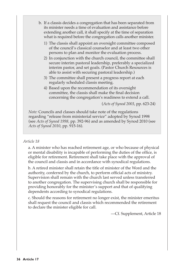- b. If a classis decides a congregation that has been separated from its minister needs a time of evaluation and assistance before extending another call, it shall specify at the time of separation what is required before the congregation calls another minister.
	- 1) The classis shall appoint an oversight committee composed of the council's classical counselor and at least two other persons to plan and monitor the evaluation process.
	- 2) In conjunction with the church council, the committee shall secure interim pastoral leadership, preferably a specialized interim pastor, and set goals. (Pastor Church Resources is able to assist with securing pastoral leadership.)
	- 3) The committee shall present a progress report at each regularly scheduled classis meeting.
	- 4) Based upon the recommendation of its oversight committee, the classis shall make the final decision concerning the congregation's readiness to extend a call.

(*Acts of Synod 2003*, pp. 623-24)

*Note:* Councils and classes should take note of the regulations regarding "release from ministerial service" adopted by Synod 1998 (see *Acts of Synod 1998,* pp. 392-96) and as amended by Synod 2010 (see *Acts of Synod 2010*, pp. 915-16).

#### *Article 18*

a. A minister who has reached retirement age, or who because of physical or mental disability is incapable of performing the duties of the office, is eligible for retirement. Retirement shall take place with the approval of the council and classis and in accordance with synodical regulations.

b. A retired minister shall retain the title of minister of the Word and the authority, conferred by the church, to perform official acts of ministry. Supervision shall remain with the church last served unless transferred to another congregation. The supervising church shall be responsible for providing honorably for the minister's support and that of qualifying dependents according to synodical regulations.

c. Should the reasons for retirement no longer exist, the minister emeritus shall request the council and classis which recommended the retirement to declare the minister eligible for call.

—Cf. Supplement, Article 18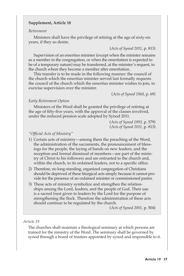### **Supplement, Article 18**

#### *Retirement*

Ministers shall have the privilege of retiring at the age of sixty-six years, if they so desire.

(*Acts of Synod 2011*, p. 813)

Supervision of an emeritus minister (except when the minister remains as a member in the congregation, or when the emeritation is expected to be of a temporary nature) may be transferred, at the minister's request, to the church where they become a member after emeritation.

This transfer is to be made in the following manner: the council of the church which the emeritus minister served last formally requests the council of the church which the emeritus minister wishes to join, to exercise supervision over the minister.

(*Acts of Synod 1968*, p. 69)

### *Early Retirement Option*

Ministers of the Word shall be granted the privilege of retiring at the age of fifty-five years, with the approval of the classes involved, under the reduced pension scale adopted by Synod 2011.

> (*Acts of Synod 1993,* p. 579) (*Acts of Synod 2011,* p. 813)

#### *"Official Acts of Ministry"*

- 1) Certain acts of ministry—among them the preaching of the Word, the administration of the sacraments, the pronouncement of blessings for the people, the laying of hands on new leaders, and the reception and formal dismissal of members—are part of the ministry of Christ to his followers and are entrusted to the church and, within the church, to its ordained leaders, not to a specific office.
- 2) Therefore, no long-standing, organized congregation of Christians should be deprived of these liturgical acts simply because it cannot provide for the presence of an ordained minister or commissioned pastor.
- 3) These acts of ministry symbolize and strengthen the relationships among the Lord, leaders, and the people of God. Their use is a sacred trust given to leaders by the Lord for the purpose of strengthening the flock. Therefore the administration of these acts should continue to be regulated by the church.

(*Acts of Synod 2001*, p. 504)

#### *Article 19*

The churches shall maintain a theological seminary at which persons are trained for the ministry of the Word. The seminary shall be governed by synod through a board of trustees appointed by synod and responsible to it.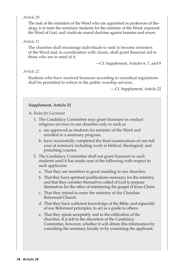## *Article 20*

The task of the ministers of the Word who are appointed as professors of theology is to train the seminary students for the ministry of the Word, expound the Word of God, and vindicate sound doctrine against heresies and errors.

## *Article 21*

The churches shall encourage individuals to seek to become ministers of the Word and, in coordination with classis, shall grant financial aid to those who are in need of it.

—Cf. Supplement, Articles 6, 7, and 8

# *Article 22*

Students who have received licensure according to synodical regulations shall be permitted to exhort in the public worship services.

—Cf. Supplement, Article 22

# **Supplement, Article 22**

A. *Rules for Licensure*

- 1. The Candidacy Committee may grant licensure to conduct religious services in our churches only to such as
	- a. are approved as students for minister of the Word and enrolled in a seminary program.
	- b. have successfully completed the final examinations of one full year of seminary including work in biblical, theological, and preaching courses.
- 2. The Candidacy Committee shall not grant licensure to such students until it has made sure of the following with respect to such applicants:
	- a. That they are members in good standing in our churches.
	- b. That they have spiritual qualifications necessary for the ministry, and that they consider themselves called of God to prepare themselves for the office of ministering the gospel of Jesus Christ.
	- c. That they intend to enter the ministry of the Christian Reformed Church.
	- d. That they have sufficient knowledge of the Bible, and especially of our Reformed principles, to act as a guide to others.
	- e. That they speak acceptably and to the edification of the churches. It is left to the discretion of the Candidacy Committee, however, whether it will obtain this information by consulting the seminary faculty or by examining the applicant.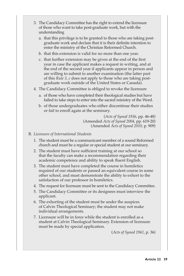- 3. The Candidacy Committee has the right to extend the licensure of those who want to take post-graduate work, but with the understanding
	- a. that this privilege is to be granted to those who are taking postgraduate work and declare that it is their definite intention to enter the ministry of the Christian Reformed Church.
	- b. that this extension is valid for no more than one year.
	- c. that further extension may be given at the end of the first year in case the applicant makes a request in writing, and at the end of the second year if applicants appear in person and are willing to submit to another examination (the latter part of this *Rule 3, c* does not apply to those who are taking postgraduate work outside of the United States or Canada).
- 4. The Candidacy Committee is obliged to revoke the licensure
	- a. of those who have completed their theological studies but have failed to take steps to enter into the sacred ministry of the Word.
	- b. of those undergraduates who either discontinue their studies or fail to enroll again at the seminary.

(*Acts of Synod 1936*, pp. 46-48) (Amended *Acts of Synod 2004,* pp. 619-20) (Amended *Acts of Synod 2010,* p. 909)

### B. *Licensure of International Students*

- 1. The student must be a communicant member of a sound Reformed church and must be a regular or special student at our seminary.
- 2. The student must have sufficient training at our school so that the faculty can make a recommendation regarding their academic competence and ability to speak fluent English.
- 3. The student must have completed the course in homiletics required of our students or passed an equivalent course in some other school, and must demonstrate the ability to exhort to the satisfaction of our professor in homiletics.
- 4. The request for licensure must be sent to the Candidacy Committee.
- 5. The Candidacy Committee or its designees must interview the applicant.
- 6. The exhorting of the student must be under the auspices of Calvin Theological Seminary; the student may not make individual arrangements.
- 7. Licensure will be in force while the student is enrolled as a student at Calvin Theological Seminary. Extension of licensure must be made by special application.

(*Acts of Synod 1961*, p. 36)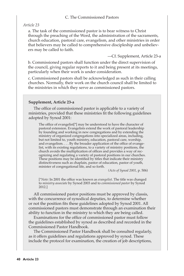# C. The Commissioned Pastors

### *Article 23*

a. The task of the commissioned pastor is to bear witness to Christ through the preaching of the Word, the administration of the sacraments, church education, pastoral care, evangelism, and other ministries in order that believers may be called to comprehensive discipleship and unbelievers may be called to faith.

—Cf. Supplement, Article 23-a

b. Commissioned pastors shall function under the direct supervision of the council, giving regular reports to it and being present at its meetings, particularly when their work is under consideration.

c. Commissioned pastors shall be acknowledged as such in their calling churches. Normally, their work on the church council shall be limited to the ministries in which they serve as commissioned pastors.

#### **Supplement, Article 23-a**

The office of commissioned pastor is applicable to a variety of ministries, provided that these ministries fit the following guidelines adopted by Synod 2001:

The office of evangelist[\*] may be understood to have the character of pastoral extension. Evangelists extend the work of pastoral leadership by founding and working in new congregations and by extending the ministry of organized congregations into specialized areas, including, but not limited to, youth ministry, education, pastoral care, worship, and evangelism. . . . By the broader application of the office of evangelist, with its existing regulations, to a variety of ministry positions, the church avoids the multiplication of offices and provides a way of recognizing and regulating a variety of pastoral positions in our churches. These positions may be identified by titles that indicate their ministry distinctiveness such as chaplain, pastor of education, pastor of youth, minister of congregational life, and so forth.

*(Acts of Synod 2001,* p. 506)

[*\*Note:* In 2001 the office was known as *evangelist*. The title was changed to *ministry associate* by Synod 2003 and to *commissioned pastor* by Synod 2012.]

All commissioned pastor positions must be approved by classis, with the concurrence of synodical deputies, to determine whether or not the position fits these guidelines adopted by Synod 2001. All commissioned pastors must demonstrate through an examination their ability to function in the ministry to which they are being called.

Examinations for the office of commissioned pastor must follow the guidelines established by synod as described and recorded in the Commissioned Pastor Handbook.

The Commissioned Pastor Handbook shall be consulted regularly, as it offers guidelines and regulations approved by synod. These include the protocol for examination, the creation of job descriptions,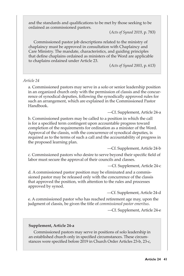and the standards and qualifications to be met by those seeking to be ordained as commissioned pastors.

(*Acts of Synod 2019*, p. 783)

Commissioned pastor job descriptions related to the ministry of chaplaincy must be approved in consultation with Chaplaincy and Care Ministry. The mandate, characteristics, and guiding principles that define chaplains ordained as ministers of the Word are applicable to chaplains ordained under Article 23.

(*Acts of Synod 2003*, p. 613)

#### *Article 24*

a. Commissioned pastors may serve in a solo or senior leadership position in an organized church only with the permission of classis and the concurrence of synodical deputies, following the synodically approved rules for such an arrangement, which are explained in the Commissioned Pastor Handbook.

—Cf. Supplement, Article 24-a

b. Commissioned pastors may be called to a position in which the call is for a specified term contingent upon accountable progress toward completion of the requirements for ordination as a minister of the Word. Approval of the classis, with the concurrence of synodical deputies, is required as to the terms of such a call and the accountability of progress in the proposed learning plan.

—Cf. Supplement, Article 24-b

c. Commissioned pastors who desire to serve beyond their specific field of labor must secure the approval of their councils and classes.

—Cf. Supplement, Article 24-c

d. A commissioned pastor position may be eliminated and a commissioned pastor may be released only with the concurrence of the classis that approved the position, with attention to the rules and processes approved by synod.

—Cf. Supplement, Article 24-d

e. A commissioned pastor who has reached retirement age may, upon the judgment of classis, be given the title of *commissioned pastor emeritus*.

—Cf. Supplement, Article 24-e

#### **Supplement, Article 24-a**

Commissioned pastors may serve in positions of solo leadership in an established church only in specified circumstances. These circumstances were specified before 2019 in Church Order Articles 23-b, 23-c,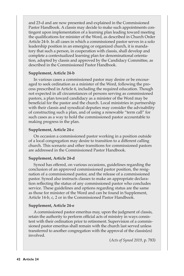and 23-d and are now presented and explained in the Commissioned Pastor Handbook. A classis may decide to make such appointments contingent upon implementation of a learning plan leading toward meeting the qualifications for minister of the Word, as described in Church Order Article 24-b. In all cases in which a commissioned pastor serves in a solo leadership position in an emerging or organized church, it is mandatory that such a person, in cooperation with classis, shall develop and complete a contextualized learning plan for denominational orientation, adopted by classis and approved by the Candidacy Committee, as described in the Commissioned Pastor Handbook.

#### **Supplement, Article 24-b**

In various cases a commissioned pastor may desire or be encouraged to seek ordination as a minister of the Word, following the process prescribed in Article 6, including the required education. Though not expected in all circumstances of persons serving as commissioned pastors, a plan toward candidacy as a minister of the Word may be beneficial for the pastor and the church. Local ministries in partnership with their classis and synodical deputies may consider the advisability of constructing such a plan, and of using a renewable "term call" for such cases as a way to hold the commissioned pastor accountable to making progress in the plan.

### **Supplement, Article 24-c**

On occasion a commissioned pastor working in a position outside of a local congregation may desire to transition to a different calling church. This scenario and other transitions for commissioned pastors are addressed in the Commissioned Pastor Handbook.

# **Supplement, Article 24-d**

Synod has offered, on various occasions, guidelines regarding the conclusion of an approved commissioned pastor position, the resignation of a commissioned pastor, and the release of a commissioned pastor. Synod also instructs classes to make an appropriate declaration reflecting the status of any commissioned pastor who concludes service. These guidelines and options regarding status are the same as those for minister of the Word and can be found in Supplement, Article 14-b, c, 2 or in the Commissioned Pastor Handbook.

#### **Supplement, Article 24-e**

A commissioned pastor emeritus may, upon the judgment of classis, retain the authority to perform official acts of ministry in ways consistent with their ordination prior to retirement. Supervision of a commissioned pastor emeritus shall remain with the church last served unless transferred to another congregation with the approval of the classis(es) involved.

(*Acts of Synod 2019*, p. 783)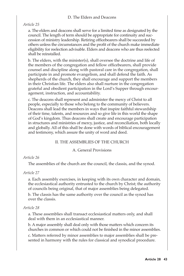### D. The Elders and Deacons

*Article 25*

a. The elders and deacons shall serve for a limited time as designated by the council. The length of term should be appropriate for continuity and succession of ministry leadership. Retiring officebearers shall be succeeded by others unless the circumstances and the profit of the church make immediate eligibility for reelection advisable. Elders and deacons who are thus reelected shall be reinstalled.

b. The elders, with the minister(s), shall oversee the doctrine and life of the members of the congregation and fellow officebearers, shall provide counsel and discipline along with pastoral care in the congregation, shall participate in and promote evangelism, and shall defend the faith. As shepherds of the church, they shall encourage and support the members in their Christian life. The elders also shall nurture in the congregation grateful and obedient participation in the Lord's Supper through encouragement, instruction, and accountability.

c. The deacons shall represent and administer the mercy of Christ to all people, especially to those who belong to the community of believers. Deacons shall lead the members in ways that inspire faithful stewardship of their time, talents, and resources and so give life in this world the shape of God's kingdom. Thus deacons shall create and encourage participation in structures and ministries of mercy, justice, and reconciliation, both locally and globally. All of this shall be done with words of biblical encouragement and testimony, which assure the unity of word and deed.

# II. THE ASSEMBLIES OF THE CHURCH

#### A. General Provisions

# *Article 26*

The assemblies of the church are the council, the classis, and the synod.

# *Article 27*

a. Each assembly exercises, in keeping with its own character and domain, the ecclesiastical authority entrusted to the church by Christ; the authority of councils being original, that of major assemblies being delegated.

b. The classis has the same authority over the council as the synod has over the classis.

# *Article 28*

a. These assemblies shall transact ecclesiastical matters only, and shall deal with them in an ecclesiastical manner.

b. A major assembly shall deal only with those matters which concern its churches in common or which could not be finished in the minor assemblies.

c. Matters referred by minor assemblies to major assemblies shall be presented in harmony with the rules for classical and synodical procedure.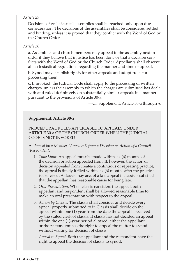# *Article 29*

Decisions of ecclesiastical assemblies shall be reached only upon due consideration. The decisions of the assemblies shall be considered settled and binding, unless it is proved that they conflict with the Word of God or the Church Order.

# *Article 30*

a. Assemblies and church members may appeal to the assembly next in order if they believe that injustice has been done or that a decision conflicts with the Word of God or the Church Order. Appellants shall observe all ecclesiastical regulations regarding the manner and time of appeal.

b. Synod may establish rights for other appeals and adopt rules for processing them.

c. If invoked, the Judicial Code shall apply to the processing of written charges, unless the assembly to which the charges are submitted has dealt with and ruled definitively on substantially similar appeals in a manner pursuant to the provisions of Article 30-a.

—Cf. Supplement, Article 30-a through -c

# **Supplement, Article 30-a**

PROCEDURAL RULES APPLICABLE TO APPEALS UNDER ARTICLE 30-a OF THE CHURCH ORDER WHEN THE JUDICIAL CODE IS NOT INVOKED

A. *Appeal by a Member (Appellant) from a Decision or Action of a Council (Respondent)*

- 1. *Time Limit.* An appeal must be made within six (6) months of the decision or action appealed from. If, however, the action or decision appealed from creates a continuous or repeating practice, the appeal is timely if filed within six (6) months after the practice is exercised. A classis may accept a late appeal if classis is satisfied that the appellant has reasonable cause for being late.
- 2. *Oral Presentation.* When classis considers the appeal, both appellant and respondent shall be allowed reasonable time to make an oral presentation with respect to the appeal.
- 3. *Action by Classis.* The classis shall consider and decide every appeal properly submitted to it. Classis shall decide on the appeal within one (1) year from the date the appeal is received by the stated clerk of classis. If classis has not decided an appeal within the one (1)-year period allowed, either the appellant or the respondent has the right to appeal the matter to synod without waiting for decision of classis.
- 4. *Appeal to Synod.* Both the appellant and the respondent have the right to appeal the decision of classis to synod.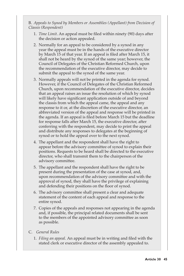B. *Appeals to Synod by Members or Assemblies (Appellant) from Decision of Classis (Respondent)*

- 1. *Time Limit*. An appeal must be filed within ninety (90) days after the decision or action appealed.
- 2. Normally for an appeal to be considered by a synod in any year the appeal must be in the hands of the executive director by March 15 of that year. If an appeal is filed after March 15, it shall not be heard by the synod of the same year; however, the Council of Delegates of the Christian Reformed Church, upon the recommendation of the executive director, may decide to submit the appeal to the synod of the same year.
- 3. Normally appeals will not be printed in the agenda for synod. However, if the Council of Delegates of the Christian Reformed Church, upon recommendation of the executive director, decides that an appeal raises an issue the resolution of which by synod will likely have significant application outside of and beyond the classis from which the appeal came, the appeal and any response to it or, at the discretion of the executive director, an abbreviated version of the appeal and response will be printed in the agenda. If an appeal is filed before March 15 but the deadline for response falls after March 15, the executive director, after conferring with the respondent, may decide to print the appeal and distribute any responses to delegates at the beginning of synod or to hold the appeal over to the next synod.
- 4. The appellant and the respondent shall have the right to appear before the advisory committee of synod to explain their positions. Requests to be heard shall be directed to the executive director, who shall transmit them to the chairperson of the advisory committee.
- 5. The appellant and the respondent shall have the right to be present during the presentation of the case at synod, and, upon recommendation of the advisory committee and with the approval of synod, they shall have the privilege of explaining and defending their positions on the floor of synod.
- 6. The advisory committee shall present a clear and adequate statement of the content of each appeal and response to the entire synod.
- 7. Copies of the appeals and responses not appearing in the agenda and, if possible, the principal related documents shall be sent to the members of the appointed advisory committee as soon as possible.
- C. *General Rules*
	- 1. *Filing an appeal.* An appeal must be in writing and filed with the stated clerk or executive director of the assembly appealed to.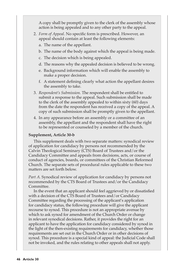A copy shall be promptly given to the clerk of the assembly whose action is being appealed and to any other party to the appeal.

- 2. *Form of Appeal*. No specific form is prescribed. However, an appeal should contain at least the following elements:
	- a. The name of the appellant.
	- b. The name of the body against which the appeal is being made.
	- c. The decision which is being appealed.
	- d. The reasons why the appealed decision is believed to be wrong.
	- e. Background information which will enable the assembly to make a proper decision.
	- f. A statement defining clearly what action the appellant desires the assembly to take.
- 3. *Respondent's Submission.* The respondent shall be entitled to submit a response to the appeal. Such submission shall be made to the clerk of the assembly appealed to within sixty (60) days from the date the respondent has received a copy of the appeal. A copy of such submission shall be promptly given to the appellant.
- 4. In any appearance before an assembly or a committee of an assembly, the appellant and the respondent shall have the right to be represented or counseled by a member of the church.

### **Supplement, Article 30-b**

This supplement deals with two separate matters: synodical review of application for candidacy by persons not recommended by the Calvin Theological Seminary (CTS) Board of Trustees and/or the Candidacy Committee and appeals from decisions, acts, or course of conduct of agencies, boards, or committees of the Christian Reformed Church. The separate sets of procedural rules applicable to these two matters are set forth below.

*Part A.* Synodical review of application for candidacy by persons not recommended by the CTS Board of Trustees and/or the Candidacy Committee.

In the event that an applicant should feel aggrieved by or dissatisfied with a decision of the CTS Board of Trustees and/or Candidacy Committee regarding the processing of the applicant's application for candidacy status, the following procedure will give the applicant recourse to synod. This procedure is not an appropriate avenue by which to ask synod for amendment of the Church Order or change in relevant synodical decisions. Rather, it provides the right for an applicant to have the application for candidacy considered by synod in the light of the then-existing requirements for candidacy, whether those requirements are set out in the Church Order or in other decisions of synod. This procedure is a special kind of appeal: the Judicial Code shall not be invoked, and the rules relating to other appeals shall not apply.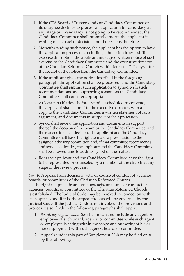- 1. If the CTS Board of Trustees and/or Candidacy Committee or its designee declines to process an application for candidacy at any stage or if candidacy is not going to be recommended, the Candidacy Committee shall promptly inform the applicant in writing of such act or decision and the reasons therefore.
- 2. Notwithstanding such notice, the applicant has the option to have the application processed, including submission to synod. To exercise this option, the applicant must give written notice of such exercise to the Candidacy Committee and the executive director of the Christian Reformed Church within fourteen (14) days after the receipt of the notice from the Candidacy Committee.
- 3. If the applicant gives the notice described in the foregoing paragraph, the application shall be processed, and the Candidacy Committee shall submit such application to synod with such recommendations and supporting reasons as the Candidacy Committee shall consider appropriate.
- 4. At least ten (10) days before synod is scheduled to convene, the applicant shall submit to the executive director, with a copy to the Candidacy Committee, a written statement of facts, argument, and documents in support of the application.
- 5. Synod shall review the application and documents in support thereof, the decision of the board or the Candidacy Committee, and the reasons for such decision. The applicant and the Candidacy Committee shall have the right to make a presentation to the assigned advisory committee, and, if that committee recommends and synod so decides, the applicant and the Candidacy Committee shall be allowed time to address synod on the matter.
- 6. Both the applicant and the Candidacy Committee have the right to be represented or counseled by a member of the church at any stage of the review process.

*Part B.* Appeals from decisions, acts, or course of conduct of agencies, boards, or committees of the Christian Reformed Church.

The right to appeal from decisions, acts, or course of conduct of agencies, boards, or committees of the Christian Reformed Church is established. The Judicial Code may be invoked in connection with such appeal, and if it is, the appeal process will be governed by the Judicial Code. If the Judicial Code is not invoked, the provisions and procedures set forth in the following paragraphs shall apply:

- 1. *Board, agency, or committee* shall mean and include any agent or employee of such board, agency, or committee while such agent or employee is acting within the scope and authority of his or her employment with such agency, board, or committee.
- 2. Appeals under this part of Supplement 30-b may be filed only by the following: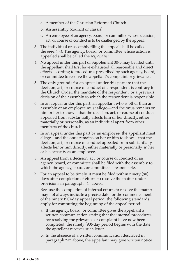- a. A member of the Christian Reformed Church.
- b. An assembly (council or classis).
- c. An employee of an agency, board, or committee whose decision, act, or course of conduct is to be challenged by the appeal.
- 3. The individual or assembly filing the appeal shall be called the *appellant*. The agency, board, or committee whose action is appealed shall be called the *respondent*.
- 4. No appeal under this part of Supplement 30-b may be filed until the appellant shall first have exhausted all reasonable and direct efforts according to procedures prescribed by such agency, board, or committee to resolve the appellant's complaint or grievance.
- 5. The only grounds for an appeal under this part are that the decision, act, or course of conduct of a respondent is contrary to the Church Order, the mandate of the respondent, or a previous decision of the assembly to which the respondent is responsible.
- 6. In an appeal under this part, an appellant who is other than an assembly or an employee must allege—and the onus remains on him or her to show—that the decision, act, or course of conduct appealed from substantially affects him or her directly, either materially or personally, as an individual apart from other members of the church.
- 7. In an appeal under this part by an employee, the appellant must allege—and the onus remains on her or him to show—that the decision, act, or course of conduct appealed from substantially affects her or him directly, either materially or personally, in her or his capacity as an employee.
- 8. An appeal from a decision, act, or course of conduct of an agency, board, or committee shall be filed with the assembly to which the agency, board, or committee is responsible.
- 9. For an appeal to be timely, it must be filed within ninety (90) days after completion of efforts to resolve the matter under provisions in paragraph "4" above.

 Because the completion of internal efforts to resolve the matter may not always indicate a precise date for the commencement of the ninety (90)-day appeal period, the following standards apply for computing the beginning of the appeal period:

- a. If the agency, board, or committee gives the appellant a written communication stating that the internal procedures for resolving the grievance or complaint have now been completed, the ninety (90)-day period begins with the date the appellant receives such letter.
- b. In the absence of a written communication described in paragraph "a" above, the appellant may give written notice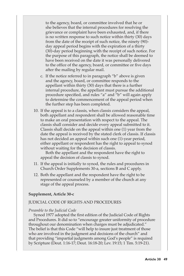to the agency, board, or committee involved that he or she believes that the internal procedures for resolving the grievance or complaint have been exhausted, and, if there is no written response to such notice within thirty (30) days from the date of the receipt of such notice, the ninety (90) day appeal period begins with the expiration of a thirty (30)-day period beginning with the receipt of such notice. For the purpose of this paragraph, the notice shall be deemed to have been received on the date it was personally delivered to the office of the agency, board, or committee or five days after the mailing by regular mail.

- c. If the notice referred to in paragraph "b" above is given and the agency, board, or committee responds to the appellant within thirty (30) days that there is a further internal procedure, the appellant must pursue the additional procedure specified, and rules "a" and "b" will again apply to determine the commencement of the appeal period when the further step has been completed.
- 10. If the appeal is to a classis, when classis considers the appeal, both appellant and respondent shall be allowed reasonable time to make an oral presentation with respect to the appeal. The classis shall consider and decide every appeal submitted to it. Classis shall decide on the appeal within one (1) year from the date the appeal is received by the stated clerk of classis. If classis has not decided an appeal within such one (1)-year period, either appellant or respondent has the right to appeal to synod without waiting for the decision of classis.

Both the appellant and the respondent have the right to appeal the decision of classis to synod.

- 11. If the appeal is initially to synod, the rules and procedures in Church Order Supplements 30-a, sections B and C apply.
- 12. Both the appellant and the respondent have the right to be represented or counseled by a member of the church at any stage of the appeal process.

#### **Supplement, Article 30-c**

#### JUDICIAL CODE OF RIGHTS AND PROCEDURES

#### *Preamble to the Judicial Code*

Synod 1977 adopted the first edition of the Judicial Code of Rights and Procedures. It did so to "encourage greater uniformity of procedure throughout our denomination when charges must be adjudicated." The belief is that this Code "will help to insure just treatment of those who are involved in the judgment and decisions of the church" and that providing "impartial judgments among God's people" is required by Scripture (Deut. 1:16-17; Deut. 16:18-20; Lev. 19:15; 1 Tim. 5:19-21).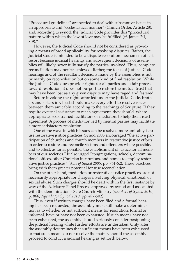"Procedural guidelines" are needed to deal with substantive issues in an appropriate and "ecclesiastical manner" (Church Order, Article 28), and, according to synod, the Judicial Code provides this "procedural pattern within which the law of love may be fulfilled (cf. James 2:1,  $(8-9)$  "

However, the Judicial Code should not be considered as providing a means of broad applicability for resolving disputes. Rather, the Judicial Code is intended to be a dispute-resolution mechanism of last resort because judicial hearings and subsequent decisions of assemblies will likely never fully satisfy the parties involved. Thus, complete reconciliation may not be achieved. Rather, the focus of Judicial Code hearings and of the resultant decisions made by the assemblies is not primarily on reconciliation but on some kind of final resolution. While the Judicial Code does provide rights for all parties and a fair process toward resolution, it does not purport to restore the mutual trust that may have been lost as any given dispute may have raged and festered.

Before invoking the rights afforded under the Judicial Code, brothers and sisters in Christ should make every effort to resolve issues between them amicably, according to the teachings of Scripture. If they require external assistance to reach agreement, they should, where appropriate, seek trained facilitators or mediators to help them reach agreement. A process of mediation led by neutral parties may facilitate a more satisfactory resolution.

One of the ways in which issues can be resolved more amicably is to use restorative justice practices. Synod 2005 encouraged "the active participation of churches and church members in restorative justice efforts in order to restore and reconcile victims and offenders where possible, and to effect, as far as possible, the establishment of justice for all members of our societies." It also urged "congregations, schools, denominational offices, other Christian institutions, and homes to employ restorative justice practices" (*Acts of Synod 2005*, pp. 761-62). These practices bring with them greater potential for true reconciliation.

On the other hand, mediation or restorative justice practices are not necessarily appropriate for charges involving physical, emotional, or sexual abuse. Such charges should be dealt with in the first instance by way of the Advisory Panel Process approved by synod and associated with the denomination's Safe Church Ministry (see *Acts of Synod 2010*, p. 866; *Agenda for Synod 2010,* pp. 497-502).

Thus, even if written charges have been filed and a formal hearing has been requested, the assembly must still make a determination as to whether or not sufficient means for resolution, formal or informal, have or have not been exhausted. If such means have not been exhausted, the assembly should seriously consider postponing the judicial hearing while further efforts are undertaken. Only after the assembly determines that sufficient means have been exhausted or that such means do not resolve the matter, should the assembly proceed to conduct a judicial hearing as set forth below.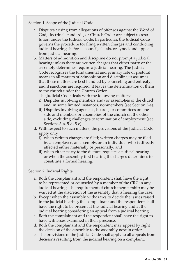Section 1: Scope of the Judicial Code

- a. Disputes arising from allegations of offenses against the Word of God, doctrinal standards, or Church Order are subject to resolution under the Judicial Code. In particular, the Judicial Code governs the procedure for filing written charges and conducting judicial hearings before a council, classis, or synod, and appeals from judicial hearing.
- b. Matters of admonition and discipline do not prompt a judicial hearing unless there are written charges that either party or the assembly determines require a judicial hearing. The Judicial Code recognizes the fundamental and primary role of pastoral means in all matters of admonition and discipline; it assumes that these matters are best handled by counseling and entreaty; and if sanctions are required, it leaves the determination of them to the church under the Church Order.
- c. The Judicial Code deals with the following matters:
	- i) Disputes involving members and/or assemblies of the church and, in some limited instances, nonmembers (see Section 3-a).
	- ii) Disputes involving agencies, boards, or committees on one side and members or assemblies of the church on the other side, excluding challenges to termination of employment (see Sections 3-a, 5-d, 5-e).
- d. With respect to such matters, the provisions of the Judicial Code apply only
	- i) when written charges are filed; written charges may be filed by an employee, an assembly, or an individual who is directly affected either materially or personally; and
	- ii) when either party to the dispute requests a judicial hearing or when the assembly first hearing the charges determines to constitute a formal hearing.

#### Section 2: Judicial Rights

- a. Both the complainant and the respondent shall have the right to be represented or counseled by a member of the CRC in any judicial hearing. The requirement of church membership may be waived at the discretion of the assembly that is hearing the case.
- b. Except when the assembly withdraws to decide the issues raised in the judicial hearing, the complainant and the respondent shall have the right to be present at the judicial hearing and at the judicial hearing considering an appeal from a judicial hearing.
- c. Both the complainant and the respondent shall have the right to have witnesses examined in their presence.
- d. Both the complainant and the respondent may appeal by right the decision of the assembly to the assembly next in order.
- e. The provisions of the Judicial Code shall apply to all appeals from decisions resulting from the judicial hearing on a complaint.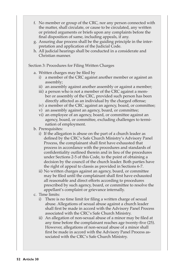- f. No member or group of the CRC, nor any person connected with the matter, shall circulate, or cause to be circulated, any written or printed arguments or briefs upon any complaints before the final disposition of same, including appeals, if any.
- g. Assuring due process shall be the guiding principle in the interpretation and application of the Judicial Code.
- h. All judicial hearings shall be conducted in a considerate and Christian manner.

### Section 3: Procedures for Filing Written Charges

- a. Written charges may be filed by
	- i) a member of the CRC against another member or against an assembly;
	- ii) an assembly against another assembly or against a member;
	- iii) a person who is not a member of the CRC against a member or assembly of the CRC, provided such person has been directly affected as an individual by the charged offense;
	- iv) a member of the CRC against an agency, board, or committee;
	- v) an assembly against an agency, board, or committee;
	- vi) an employee of an agency, board, or committee against an agency, board, or committee, excluding challenges to termination of employment.
- b. Prerequisites:
	- i) If the allegation is abuse on the part of a church leader as defined by the CRC's Safe Church Ministry's Advisory Panel Process, the complainant shall first have exhausted that process in accordance with the procedures and standards of confidentiality outlined therein and in lieu of the procedures under Sections 2-5 of this Code, to the point of obtaining a decision by the council of the church leader. Both parties have the right of appeal to classis as provided in Sections 6-7.
	- ii) No written charges against an agency, board, or committee may be filed until the complainant shall first have exhausted all reasonable and direct efforts according to procedures prescribed by such agency, board, or committee to resolve the appellant's complaint or grievance internally.
- c. Time limits:
	- i) There is no time limit for filing a written charge of sexual abuse. Allegations of sexual abuse against a church leader shall first be made in accord with the Advisory Panel Process associated with the CRC's Safe Church Ministry.
	- ii) An allegation of non-sexual abuse of a minor may be filed at any time before the complainant reaches age twenty-five (25). However, allegations of non-sexual abuse of a minor shall first be made in accord with the Advisory Panel Process associated with the CRC's Safe Church Ministry.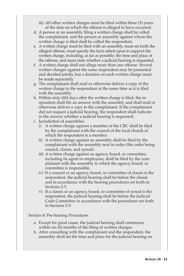- iii) All other written charges must be filed within three (3) years of the date on which the offense is alleged to have occurred.
- d. A person or an assembly filing a written charge shall be called the complainant, and the person or assembly against whom the written charge is filed shall be called the respondent.
- e. A written charge must be filed with an assembly, must set forth the alleged offense, must specify the facts relied upon to support the written charge, including, as far as possible, the time and place of the offense, and must state whether a judicial hearing is requested.
- f. A written charge shall not allege more than one offense. Several written charges against the same respondent may be presented and decided jointly, but a decision on each written charge must be made separately.
- g. The complainant shall mail or otherwise deliver a copy of the written charge to the respondent at the same time as it is filed with the assembly.
- h. Within sixty (60) days after the written charge is filed, the respondent shall file an answer with the assembly and shall mail or otherwise deliver a copy to the complainant. If the complainant did not request a judicial hearing, the respondent shall indicate in the answer whether a judicial hearing is requested.
- i. Jurisdiction of assemblies
	- i) A written charge against a member of the CRC shall be filed by the complainant with the council of the local church of which the respondent is a member.
	- ii) A written charge against an assembly shall be filed by the complainant with the assembly next in order (the order being council, classis, and synod).
	- iii) A written charge against an agency, board, or committee, including its agent or employees, shall be filed by the complainant with the assembly to which the agency, board, or committee is responsible.
	- iv) If a council or an agency, board, or committee of classis is the respondent, the judicial hearing shall be before the classis and in accordance with the hearing procedures set forth in Sections 2-5.
	- v) If a classis or an agency, board, or committee of synod is the respondent, the judicial hearing shall be before the Judicial Code Committee in accordance with the procedures set forth in Sections 2-5.

# Section 4: Pre-hearing Procedures

- a. Except for good cause, the judicial hearing shall commence within six (6) months of the filing of written charges.
- b. After consulting with the complainant and the respondent, the assembly shall set the time and place for the judicial hearing on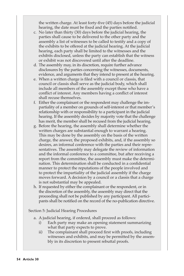the written charge. At least forty-five (45) days before the judicial hearing, the date must be fixed and the parties notified.

- c. No later than thirty (30) days before the judicial hearing, the parties shall cause to be delivered to the other party and the assembly a list of witnesses to be called to testify and a copy of the exhibits to be offered at the judicial hearing. At the judicial hearing, each party shall be limited to the witnesses and the exhibits disclosed, unless the party can establish that the witness or exhibit was not discovered until after the deadline.
- d. The assembly may, in its discretion, require further advance disclosures by the parties concerning the witnesses, documents, evidence, and arguments that they intend to present at the hearing.
- e. When a written charge is filed with a council or classis, that council or classis shall serve as the judicial body, which shall include all members of the assembly except those who have a conflict of interest. Any members having a conflict of interest shall recuse themselves.
- f. Either the complainant or the respondent may challenge the impartiality of a member on grounds of self-interest or that member's relationship with or responsibility to a participant in the judicial hearing. If the assembly decides by majority vote that the challenge has merit, the member shall be recused from the judicial hearing.
- g. Before the hearing, the assembly shall determine whether the written charges are substantial enough to warrant a hearing. This may be done by the assembly on the basis of the written charge, the answer, the proposed exhibits, and, if the assembly so desires, an informal conference with the parties and their representatives. The assembly may delegate the review of information and the informal conference to a committee, but after receiving a report from the committee, the assembly must make the determination. This determination shall be conducted in a confidential manner to protect the reputations of the people involved and to protect the impartiality of the judicial assembly if the charge moves forward. A decision by a council or a classis that a charge is not substantial may be appealed.
- h. If requested by either the complainant or the respondent, or in the discretion of the assembly, the assembly may direct that the proceeding shall not be published by any participant. All participants shall be notified on the record of the no-publication directive.

Section 5: Judicial Hearing Procedures

- a. A judicial hearing, if ordered, shall proceed as follows:
	- i) Each party may make an opening statement summarizing what that party expects to prove.
	- ii) The complainant shall proceed first with proofs, including witnesses and exhibits, and may be permitted by the assembly in its discretion to present rebuttal proofs.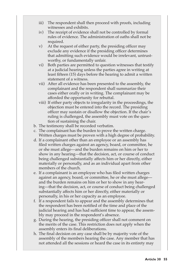- iii) The respondent shall then proceed with proofs, including witnesses and exhibits.
- iv) The receipt of evidence shall not be controlled by formal rules of evidence. The administration of oaths shall not be required.
- v) At the request of either party, the presiding officer may exclude any evidence if the presiding officer determines that admitting such evidence would be irrelevant, untrustworthy, or fundamentally unfair.
- vi) Both parties are permitted to question witnesses that testify at a judicial hearing unless the parties agree in writing at least fifteen (15) days before the hearing to admit a written statement of a witness.
- vii) After all evidence has been presented to the assembly, the complainant and the respondent shall summarize their cases either orally or in writing. The complainant may be afforded the opportunity for rebuttal.
- viii) If either party objects to irregularity in the proceedings, the objection must be entered into the record. The presiding officer may sustain or disallow the objection. If the chair's ruling is challenged, the assembly must vote on the question of sustaining the chair.
- b. The testimony shall be recorded verbatim.
- c. The complainant has the burden to prove the written charge. Written charges must be proven with a high degree of probability.
- d. If a complainant other than an employee or an assembly has filed written charges against an agency, board, or committee, he or she must allege—and the burden remains on him or her to show in any hearing—that the decision, act, or course of conduct being challenged substantially affects him or her directly, either materially or personally, and as an individual apart from other members of the church.
- e. If a complainant is an employee who has filed written charges against an agency, board, or committee, he or she must allege and the burden remains on him or her to show in any hearing—that the decision, act, or course of conduct being challenged substantially affects him or her directly, either materially or personally, in his or her capacity as an employee.
- f. If a respondent fails to appear and the assembly determines that the respondent has been notified of the time and place of the judicial hearing and has had sufficient time to appear, the assembly may proceed in the respondent's absence.
- g. During the hearing, the presiding officer shall not comment on the merits of the case. This restriction does not apply when the assembly enters its final deliberations.
- h. The final decision on any case shall be by majority vote of the assembly of the members hearing the case. Any member that has not attended all the sessions or heard the case in its entirety may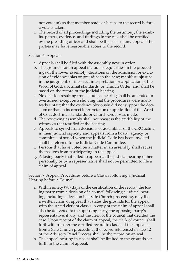not vote unless that member reads or listens to the record before a vote is taken.

i. The record of all proceedings including the testimony, the exhibits, papers, evidence, and findings in the case shall be certified by the presiding officer and shall be the basis of any appeal. The parties may have reasonable access to the record.

# Section 6: Appeals

- a. Appeals shall be filed with the assembly next in order.
- b. The grounds for an appeal include irregularities in the proceedings of the lower assembly; decisions on the admission or exclusion of evidence; bias or prejudice in the case; manifest injustice in the judgment; or incorrect interpretation or application of the Word of God, doctrinal standards, or Church Order; and shall be based on the record of the judicial hearing.
- c. No decision resulting from a judicial hearing shall be amended or overturned except on a showing that the procedures were manifestly unfair; that the evidence obviously did not support the decision; or that an incorrect interpretation or application of the Word of God, doctrinal standards, or Church Order was made.
- d. The reviewing assembly shall not reassess the credibility of the witnesses that testified at the hearing.
- e. Appeals to synod from decisions of assemblies of the CRC acting in their judicial capacity and appeals from a board, agency, or committee of synod when the Judicial Code has been invoked shall be referred to the Judicial Code Committee.
- f. Persons that have voted on a matter in an assembly shall recuse themselves from participating in the appeal.
- g. A losing party that failed to appear at the judicial hearing either personally or by a representative shall not be permitted to file a claim of appeal.

Section 7: Appeal Procedures before a Classis following a Judicial Hearing before a Council

- a. Within ninety (90) days of the certification of the record, the losing party from a decision of a council following a judicial hearing, including a decision in a Safe Church proceeding, may file a written claim of appeal that states the grounds for the appeal with the stated clerk of classis. A copy of the claim of appeal shall also be delivered to the opposing party, the opposing party's representative, if any, and the clerk of the council that decided the case. Upon receipt of the claim of appeal, the clerk of council shall forthwith transfer the certified record to classis. If the appeal is from a Safe Church proceeding, the record referenced in step 12 of the Advisory Panel Process shall be the record on appeal.
- b. The appeal hearing in classis shall be limited to the grounds set forth in the claim of appeal.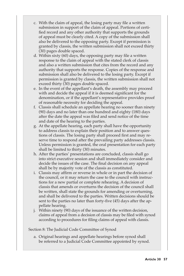- c. With the claim of appeal, the losing party may file a written submission in support of the claim of appeal. Portions of certified record and any other authority that supports the grounds of appeal must be clearly cited. A copy of the submission shall also be delivered to the opposing party. Except if permission is granted by classis, the written submission shall not exceed thirty (30) pages double spaced.
- d. Within sixty (60) days, the opposing party may file a written response to the claim of appeal with the stated clerk of classis and also a written submission that cites from the record and any authority that supports the response. Copies of the response and submission shall also be delivered to the losing party. Except if permission is granted by classis, the written submission shall not exceed thirty (30) pages double spaced.
- e. In the event of the appellant's death, the assembly may proceed with and decide the appeal if it is deemed significant for the denomination, or if the appellant's representative provides proof of reasonable necessity for deciding the appeal.
- f. Classis shall schedule an appellate hearing no sooner than ninety (90) days and no later than one hundred and eighty (180) days after the date the appeal was filed and send notice of the time and date of the hearing to the parties.
- g. At the appellate hearing, each party shall have the opportunity to address classis to explain their position and to answer questions of classis. The losing party shall proceed first and may reserve time to respond after the prevailing party addresses classis. Unless permission is granted, the oral presentation for each party shall be limited to thirty (30) minutes.
- h. After the parties' presentations are concluded, classis shall go into strict executive session and shall immediately consider and decide the issues of the case. The final decision on any appeal shall be by majority vote of the classis as constituted.
- i. Classis may affirm or reverse in whole or in part the decision of the council, or it may return the case to the council with instructions for a new partial or complete rehearing. A decision of classis that amends or overturns the decision of the council shall be written, shall state the grounds for amending or overturning, and shall be delivered to the parties. Written decisions should be sent to the parties no later than forty-five (45) days after the appellate hearing.
- j. Within ninety (90) days of the issuance of the written decision, claims of appeal from a decision of classis may be filed with synod according to procedures for filing claims of appeal with classis.

Section 8: The Judicial Code Committee of Synod

a. Original hearings and appellate hearings before synod shall be referred to a Judicial Code Committee appointed by synod.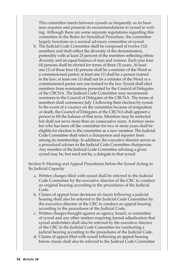This committee meets between synods as frequently as its business requires and presents its recommendations to synod in writing. Although there are some separate regulations regarding this committee in the Rules for Synodical Procedure, the committee largely functions as a normal advisory committee of synod.

b. The Judicial Code Committee shall be composed of twelve (12) members and shall reflect the diversity of the denomination, preferably with at least 25 percent of the members reflecting ethnic diversity and an equal balance of men and women. Each year four (4) persons shall be elected for terms of three (3) years. At least one (1) of these four (4) persons shall be a minister of the Word or a commissioned pastor; at least one (1) shall be a person trained in the law; at least one (1) shall not be a minister of the Word or a commissioned pastor nor one trained in the law. Synod shall elect members from nominations presented by the Council of Delegates of the CRCNA. The Judicial Code Committee may recommend nominees to the Council of Delegates of the CRCNA. The terms of members shall commence July 1 following their election by synod. In the event of a vacancy on the committee because of resignation or death, the Council of Delegates of the CRCNA shall appoint a person to fill the balance of that term. Members may be reelected but shall not serve more than six consecutive years. A former member who has been off the committee for two or more years shall be eligible for election to the committee as a new member. The Judicial Code Committee shall select a chairperson and reporter from among its membership. In addition, the executive director serves as a procedural adviser to the Judicial Code Committee chairperson. Any member of the Judicial Code Committee advising a given synod may be, but need not be, a delegate to that synod.

Section 9: Hearing and Appeal Procedures before the Synod Acting in Its Judicial Capacity

- a. Written charges filed with synod shall be referred to the Judicial Code Committee by the executive director of the CRC to conduct an original hearing according to the procedures of the Judicial Code.
- b. Claims of appeal from decisions of classis following a judicial hearing shall also be referred to the Judicial Code Committee by the executive director of the CRC to conduct an appeal hearing according to the procedures of the Judicial Code.
- c. Written charges brought against an agency, board, or committee of synod and any other matters requiring formal adjudication that synod undertakes shall also be referred by the executive director of the CRC to the Judicial Code Committee for conducting a judicial hearing according to the procedures of the Judicial Code.
- d. Claims of appeal filed with synod following an appeal hearing before classis shall also be referred to the Judicial Code Committee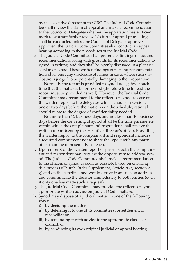by the executive director of the CRC. The Judicial Code Committee shall review the claim of appeal and make a recommendation to the Council of Delegates whether the application has sufficient merit to warrant further review. No further appeal proceedings shall be conducted unless the Council of Delegates approves. If approved, the Judicial Code Committee shall conduct an appeal hearing according to the procedures of the Judicial Code.

e. The Judicial Code Committee shall present its findings of fact and recommendations, along with grounds for its recommendations to synod in writing, and they shall be openly discussed in a plenary session of synod. These written findings of fact and recommendations shall omit any disclosure of names in cases where such disclosure is judged to be potentially damaging to their reputation.

 Normally the report is provided to synod delegates at such time that the matter is before synod (therefore time to read the report must be provided as well). However, the Judicial Code Committee may recommend to the officers of synod release of the written report to the delegates while synod is in session, one or two days before the matter is on the schedule; rationale should relate to the degree of confidentiality needed.

 Not more than 15 business days and not less than 10 business days before the convening of synod shall be the time parameters within which the complainant and respondent shall receive the written report (sent by the executive director's office). Providing the written report to the complainant and respondent includes a required commitment not to share the report with any party other than the representative of each.

- f. Upon receipt of the written report or prior to, both the complainant and respondent may request the opportunity to address synod. The Judicial Code Committee shall make a recommendation to the officers of synod as soon as possible based on ensuring due process (Church Order Supplement, Article 30-c, section 2, g) and on the benefit synod would derive from such an address, and communicate the decision immediately to both parties (even if only one has made such a request).
- g. The Judicial Code Committee may provide the officers of synod appropriate written advice on Judicial Code matters.
- h. Synod may dispose of a judicial matter in one of the following ways:
	- i) by deciding the matter;
	- ii) by deferring it to one of its committees for settlement or reconciliation;
	- iii) by remanding it with advice to the appropriate classis or council; or
	- iv) by conducting its own original judicial or appeal hearing.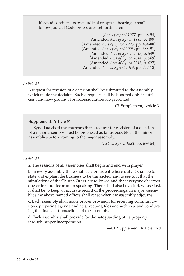i. If synod conducts its own judicial or appeal hearing, it shall follow Judicial Code procedures set forth herein.

> (*Acts of Synod 1977*, pp. 48-54) (Amended *Acts of Synod 1993*, p. 499) (Amended *Acts of Synod 1996*, pp. 484-88) (Amended *Acts of Synod 2003*, pp. 688-91) (Amended *Acts of Synod 2013*, p. 549) (Amended *Acts of Synod 2014*, p. 569) (Amended *Acts of Synod 2015*, p. 627) (Amended *Acts of Synod 2019,* pp. 717-18)

# *Article 31*

A request for revision of a decision shall be submitted to the assembly which made the decision. Such a request shall be honored only if sufficient and new grounds for reconsideration are presented.

—Cf. Supplement, Article 31

### **Supplement, Article 31**

Synod advised the churches that a request for revision of a decision of a major assembly must be processed as far as possible in the minor assemblies before coming to the major assembly.

(*Acts of Synod 1983*, pp. 653-54)

#### *Article 32*

a. The sessions of all assemblies shall begin and end with prayer.

b. In every assembly there shall be a president whose duty it shall be to state and explain the business to be transacted, and to see to it that the stipulations of the Church Order are followed and that everyone observes due order and decorum in speaking. There shall also be a clerk whose task it shall be to keep an accurate record of the proceedings. In major assemblies the above named offices shall cease when the assembly adjourns.

c. Each assembly shall make proper provision for receiving communications, preparing agenda and acts, keeping files and archives, and conducting the financial transactions of the assembly.

d. Each assembly shall provide for the safeguarding of its property through proper incorporation.

—Cf. Supplement, Article 32-d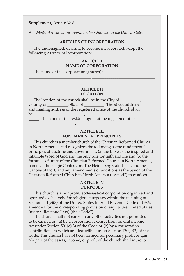### **Supplement, Article 32-d**

\_\_\_\_\_\_\_\_\_\_\_\_\_\_\_\_\_\_\_\_\_\_\_.

A. *Model Articles of Incorporation for Churches in the United States*

#### **ARTICLES OF INCORPORATION**

The undersigned, desiring to become incorporated, adopt the following Articles of Incorporation:

### **ARTICLE I NAME OF CORPORATION**

\_\_\_\_\_\_\_\_\_\_\_\_\_\_\_\_\_\_\_\_\_\_\_\_\_\_\_\_\_\_\_ \_\_\_\_\_\_\_\_\_\_\_\_\_\_\_\_\_\_\_\_\_\_\_\_\_\_\_\_\_\_\_

The name of this corporation (church) is

\_\_\_\_\_\_\_\_\_\_\_\_\_\_\_\_\_\_\_\_\_\_\_\_\_\_\_\_\_\_\_\_\_\_\_\_\_\_.

### **ARTICLE II LOCATION**

The location of the church shall be in the City of County of \_\_\_\_\_\_\_\_\_\_, State of \_\_\_\_\_\_\_\_\_\_. The street address and mailing address of the registered office of the church shall be \_\_\_\_\_\_\_\_\_\_\_\_\_\_\_\_\_\_\_\_\_\_\_\_\_, \_\_\_\_\_\_\_\_\_\_\_\_\_\_\_\_\_\_\_\_\_\_\_\_\_\_

\_\_\_\_\_. The name of the resident agent at the registered office is

### **ARTICLE III FUNDAMENTAL PRINCIPLES**

This church is a member church of the Christian Reformed Church in North America and recognizes the following as the fundamental principles of doctrine and government: (a) the Bible as the inspired and infallible Word of God and the only rule for faith and life and (b) the formulas of unity of the Christian Reformed Church in North America, namely: The Belgic Confession, The Heidelberg Catechism, and the Canons of Dort, and any amendments or additions as the Synod of the Christian Reformed Church in North America ("synod") may adopt.

#### **ARTICLE IV PURPOSES**

This church is a nonprofit, ecclesiastical corporation organized and operated exclusively for religious purposes within the meaning of Section 501(c)(3) of the United States Internal Revenue Code of 1986, as amended (or the corresponding provision of any future United States Internal Revenue Law) (the "Code").

The church shall not carry on any other activities not permitted to be carried on (a) by a corporation exempt from federal income tax under Section  $501(c)(3)$  of the Code or (b) by a corporation, contributions to which are deductible under Section 170(c)(2) of the Code. This church has not been formed for pecuniary profit or gain. No part of the assets, income, or profit of the church shall inure to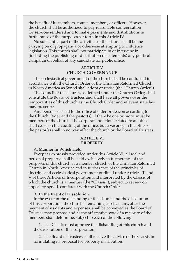the benefit of its members, council members, or officers. However, the church shall be authorized to pay reasonable compensation for services rendered and to make payments and distributions in furtherance of the purposes set forth in this Article IV.

No substantial part of the activities of this church shall be the carrying on of propaganda or otherwise attempting to influence legislation. This church shall not participate in or intervene in (including the publishing or distribution of statements) any political campaign on behalf of any candidate for public office.

## **ARTICLE V CHURCH GOVERNANCE**

The ecclesiastical government of the church shall be conducted in accordance with the Church Order of the Christian Reformed Church in North America as Synod shall adopt or revise (the "Church Order").

The council of this church, as defined under the Church Order, shall constitute the Board of Trustees and shall have all powers over the temporalities of this church as the Church Order and relevant state law may prescribe.

Any persons elected to the office of elder or deacon according to the Church Order and the pastor(s), if there be one or more, must be members of the church. The corporate functions related to an office shall cease on the vacating of the office, but a vacancy in the office of the pastor(s) shall in no way affect the church or the Board of Trustees.

#### **ARTICLE VI PROPERTY**

#### A. **Manner in Which Held**

Except as expressly provided under this Article VI, all real and personal property shall be held exclusively in furtherance of the purposes of this church as a member church of the Christian Reformed Church in North America and in furtherance of the principles of doctrine and ecclesiastical government outlined under Articles III and V of these Articles of Incorporation and interpreted by the Classis of which the church is a member (the "Classis"), subject to review on appeal by synod, consistent with the Church Order.

#### B. **In the Event of Dissolution**

In the event of the disbanding of this church and the dissolution of this corporation, the church's remaining assets, if any, after the payment of its debts and expenses, shall be conveyed as the Board of Trustees may propose and as the affirmative vote of a majority of the members shall determine, subject to each of the following:

1. The Classis must approve the disbanding of this church and the dissolution of this corporation;

2. The Board of Trustees shall receive the advice of the Classis in formulating its proposal for property distribution;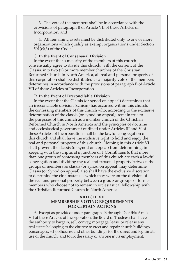3. The vote of the members shall be in accordance with the provisions of paragraph B of Article VII of these Articles of Incorporation; and

4. All remaining assets must be distributed only to one or more organizations which qualify as exempt organizations under Section 501(c)(3) of the Code.

#### C. **In the Event of Consensual Division**

In the event that a majority of the members of this church consensually agree to divide this church, with the consent of the Classis, into two (2) or more member churches of the Christian Reformed Church in North America, all real and personal property of this corporation shall be distributed as a majority vote of the members determines in accordance with the provisions of paragraph B of Article VII of these Articles of Incorporation.

#### D. **In the Event of Irreconcilable Division**

In the event that the Classis (or synod on appeal) determines that an irreconcilable division (schism) has occurred within this church, the confessing members of this church who, according to the exclusive determination of the classis (or synod on appeal), remain true to the purposes of this church as a member church of the Christian Reformed Church in North America and the principles of doctrine and ecclesiastical government outlined under Articles III and V of these Articles of Incorporation shall be the lawful congregation of this church and shall have the exclusive right to hold and enjoy the real and personal property of this church. Nothing in this Article VI shall prevent the classis (or synod on appeal) from determining, in keeping with the scriptural injunction of 1 Corinthians 6, that more than one group of confessing members of this church are each a lawful congregation and dividing the real and personal property between the groups of members as classis (or synod on appeal) may determine. Classis (or Synod on appeal) also shall have the exclusive discretion to determine the circumstances which may warrant the division of the real and personal property between a group or groups of former members who choose not to remain in ecclesiastical fellowship with the Christian Reformed Church in North America.

## **ARTICLE VII MEMBERSHIP VOTING REQUIREMENTS FOR CERTAIN ACTIONS**

A. Except as provided under paragraphs B through D of this Article VII of these Articles of Incorporation, the Board of Trustees shall have the authority to bargain, sell, convey, mortgage, lease, or release any real estate belonging to the church; to erect and repair church buildings, parsonages, schoolhouses and other buildings for the direct and legitimate use of the church; and to fix the salary of anyone in its employment.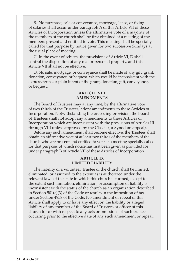B. No purchase, sale or conveyance, mortgage, lease, or fixing of salaries shall occur under paragraph A of this Article VII of these Articles of Incorporation unless the affirmative vote of a majority of the members of the church shall be first obtained at a meeting of the members present and entitled to vote. This meeting shall be specially called for that purpose by notice given for two successive Sundays at the usual place of meeting.

C. In the event of schism, the provisions of Article VI, D shall control the disposition of any real or personal property, and this Article VII shall not be effective.

D. No sale, mortgage, or conveyance shall be made of any gift, grant, donation, conveyance, or bequest, which would be inconsistent with the express terms or plain intent of the grant, donation, gift, conveyance, or bequest.

#### **ARTICLE VIII AMENDMENTS**

The Board of Trustees may at any time, by the affirmative vote of two thirds of the Trustees, adopt amendments to these Articles of Incorporation. Notwithstanding the preceding provision, the Board of Trustees shall not adopt any amendments to these Articles of Incorporation which are inconsistent with the provisions of Articles III through VIII unless approved by the Classis (or Synod on appeal).

Before any such amendment shall become effective, the Trustees shall obtain an affirmative vote of at least two thirds of the members of the church who are present and entitled to vote at a meeting specially called for that purpose, of which notice has first been given as provided for under paragraph B of Article VII of these Articles of Incorporation.

#### **ARTICLE IX LIMITED LIABILITY**

The liability of a volunteer Trustee of the church shall be limited, eliminated, or assumed to the extent as is authorized under the relevant laws of the state in which this church is formed, except to the extent such limitation, elimination, or assumption of liability is inconsistent with the status of the church as an organization described in Section 501(c)(3) of the Code or results in the imposition of tax under Section 4958 of the Code. No amendment or repeal of this Article shall apply to or have any effect on the liability or alleged liability of any member of the Board of Trustees or officer of this church for or with respect to any acts or omissions of such trustee occurring prior to the effective date of any such amendment or repeal.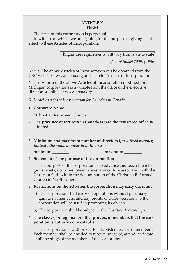### **ARTICLE X TERM**

The term of this corporation is perpetual.

In witness of which, we are signing for the purpose of giving legal effect to these Articles of Incorporation:

> \_\_\_\_\_\_\_\_\_\_\_\_\_\_\_\_\_\_\_\_\_\_\_\_\_\_\_\_\_\_\_\_\_\_\_\_\_\_\_\_\_\_\_\_\_\_\_\_ [Signature requirements will vary from state to state]

> > (*Acts of Synod 2009,* p. 596)

*Note 1:* The above Articles of Incorporation can be obtained from the CRC website—www.crcna.org and search "Articles of Incorporation."

*Note 2:* A form of the above Articles of Incorporation modified for Michigan corporations is available from the office of the executive director or online at www.crcna.org.

- B. *Model Articles of Incorporation for Churches in Canada*
- **1. Corporate Name**

\* Christian Reformed Church

- **2. The province or territory in Canada where the registered office is situated**
- **3. Minimum and maximum number of directors (***for a fixed number, indicate the same number in both boxes***)**

\_\_\_\_\_\_\_\_\_\_\_\_\_\_\_\_\_\_\_\_\_\_\_\_\_\_\_\_\_\_\_\_\_\_\_\_\_\_\_\_\_\_\_\_\_\_\_\_\_\_\_\_\_\_\_\_

minimum  $maximum$ 

**4. Statement of the purpose of the corporation**

 The purpose of the corporation is to advance and teach the religious tenets, doctrines, observances, and culture associated with the Christian faith within the denomination of the Christian Reformed Church in North America.

# **5. Restrictions on the activities the corporation may carry on, if any**

- a) The corporation shall carry on operations without pecuniary gain to its members, and any profits or other accretions to the corporation will be used in promoting its objects.
- b) The corporation shall be subject to the *Charities Accounting Act.*

# **6. The classes, or regional or other groups, of members that the corporation is authorized to establish**

 The corporation is authorized to establish one class of members. Each member shall be entitled to receive notice of, attend, and vote at all meetings of the members of the corporation.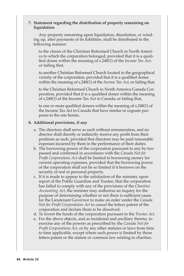### **7. Statement regarding the distribution of property remaining on liquidation**

 Any property remaining upon liquidation, dissolution, or winding up, after payments of its liabilities, shall be distributed in the following manner:

to the classis of the Christian Reformed Church in North America to which the corporation belonged, provided that it is a qualified donee within the meaning of s.248(1) of the *Income Tax Act*; or failing that,

to another Christian Reformed Church located in the geographical vicinity of the corporation, provided that it is a qualified donee within the meaning of s.248(1) of the *Income Tax Act*; or failing that,

to the Christian Reformed Church in North America Canada Corporation, provided that it is a qualified donee within the meaning of s.248(1) of the Income Tax Act in Canada; or failing that,

 to one or more qualified donees within the meaning of s.248(1) of the Income Tax Act in Canada that have similar or cognate purposes to the one herein.

### **8. Additional provisions, if any**

- a. The directors shall serve as such without remuneration, and no director shall directly or indirectly receive any profit from their positions as such, provided that directors may be paid reasonable expenses incurred by them in the performance of their duties.
- b. The borrowing power of the corporation pursuant to any by-law passed and confirmed in accordance with the *Canada Not for Profit Corporations Act* shall be limited to borrowing money for current operating expenses, provided that the borrowing power of the corporation shall not be so limited if it borrows on the security of real or personal property.
- c. If it is made to appear to the satisfaction of the minister, upon report of the Public Guardian and Trustee, that the corporation has failed to comply with any of the provisions of the *Charities Accounting Act*, the minister may authorize an inquiry for the purpose of determining whether or not there is sufficient cause for the Lieutenant Governor to make an order under the *Canada Not for Profit Corporations Act* to cancel the letters patent of the corporation and declare them to be dissolved.
- d. To invest the funds of the corporation pursuant to the *Trustee Act.*
- e. For the above objects, and as incidental and ancillary thereto, to exercise any of the powers as prescribed by the *Canada Not for Profit Corporations Act*, or by any other statutes or laws from time to time applicable, except where such power is limited by those letters patent or the statute or common law relating to charities.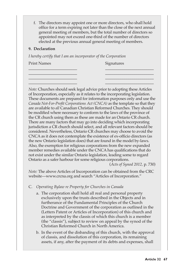f. The directors may appoint one or more directors, who shall hold office for a term expiring not later than the close of the next annual general meeting of members, but the total number of directors so appointed may not exceed one-third of the number of directors elected at the previous annual general meeting of members.

\_\_\_\_\_\_\_\_\_\_\_\_\_\_\_\_\_\_\_\_\_\_\_\_ \_\_\_\_\_\_\_\_\_\_\_\_\_\_\_\_\_\_\_\_\_\_\_\_ \_\_\_\_\_\_\_\_\_\_\_\_\_\_\_\_\_\_\_\_\_\_\_\_ \_\_\_\_\_\_\_\_\_\_\_\_\_\_\_\_\_\_\_\_\_\_\_\_ \_\_\_\_\_\_\_\_\_\_\_\_\_\_\_\_\_\_\_\_\_\_\_\_ \_\_\_\_\_\_\_\_\_\_\_\_\_\_\_\_\_\_\_\_\_\_\_\_ \_\_\_\_\_\_\_\_\_\_\_\_\_\_\_\_\_\_\_\_\_\_\_\_ \_\_\_\_\_\_\_\_\_\_\_\_\_\_\_\_\_\_\_\_\_\_\_\_

# **9. Declaration**

*I hereby certify that I am an incorporator of the Corporation*

Print Names Signatures

*Note:* Churches should seek legal advice prior to adopting these Articles of Incorporation, especially as it relates to the incorporating legislation. These documents are prepared for information purposes only and use the *Canada Not-For-Profit Corporations Act (CNCA)* as the template so that they are available to *all* Canadian Christian Reformed Churches. They should be modified where necessary to conform to the laws of the province of the CR church using them as these are made for an Ontario CR church. There are many factors that may go into deciding which incorporating jurisdiction a CR church should select, and all relevant factors should be considered. Nevertheless, Ontario CR churches may choose to avoid the CNCA as it does not contemplate the existence of ex-officio directors (as the new Ontario legislation does) that are found in the model by-laws. Also, the exemption for religious corporations from the new expanded member remedies available under the CNCA has qualifications that do not exist under the similar Ontario legislation, leading some to regard Ontario as a safer harbour for some religious corporations. (*Acts of Synod 2012,* p. 730)

*Note:* The above Articles of Incorporation can be obtained from the CRC website—www.crcna.org and search "Articles of Incorporation."

- C. *Operating Bylaw re Property for Churches in Canada*
	- a. The corporation shall hold all real and personal property exclusively upon the trusts described in the Objects and in furtherance of the Fundamental Principles of the Church Doctrine and Government of the corporation as outlined in the (Letters Patent or Articles of Incorporation) of this church and as interpreted by the classis of which this church is a member (the "classis"), subject to review on appeal by the synod of the Christian Reformed Church in North America.
	- b. In the event of the disbanding of this church, with the approval of classis, and dissolution of this corporation, its remaining assets, if any, after the payment of its debts and expenses, shall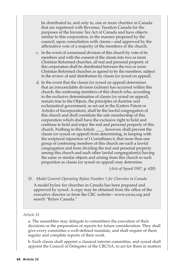be distributed to, and only to, one or more charities in Canada that are registered with Revenue, Taxation Canada for the purposes of the Income Tax Act of Canada and have objects similar to this corporation, in the manner proposed by the council, upon consultation with classis—and approved by the affirmative vote of a majority of the members of the church.

- c. In the event of consensual division of this church by vote of its members and with the consent of the classis into two or more Christian Reformed churches, all real and personal property of this corporation shall be distributed between the two or more Christian Reformed churches as agreed to by the members, subject to the review of said distribution by classis (or synod on appeal).
- d. In the event that the classis (or synod on appeal) determines that an irreconcilable division (schism) has occurred within this church, the confessing members of this church who, according to the exclusive determination of classis (or synod on appeal), remain true to the Objects, the principles of doctrine and ecclesiastical government, as set out in the (Letters Patent or Articles of Incorporation), shall be the lawful congregation of this church and shall constitute the sole membership of this corporation which shall have the exclusive right to hold and continue to hold and enjoy the real and personal property of this church. Nothing in this Article \_\_\_\_, however, shall prevent the classis (or synod on appeal) from determining, in keeping with the scriptural injunction of I Corinthians 6, that more than one group of confessing members of this church are each a lawful congregation and from dividing the real and personal property among this church and such other lawful congregation(s) having the same or similar objects and arising from this church in such proportion as classis (or synod on appeal) may determine.

(*Acts of Synod 1997,* p. 620)

D. *Model General Operating Bylaw Number 1 for Churches in Canada*

A model bylaw for churches in Canada has been prepared and approved by synod. A copy may be obtained from the office of the executive director or from the CRC website—www.crcna.org and search "Bylaw Canada."

#### *Article 33*

a. The assemblies may delegate to committees the execution of their decisions or the preparation of reports for future consideration. They shall give every committee a well-defined mandate, and shall require of them regular and complete reports of their work.

b. Each classis shall appoint a classical interim committee, and synod shall appoint the Council of Delegates of the CRCNA, to act for them in matters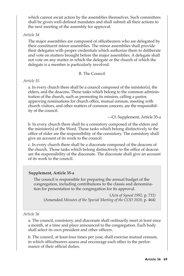which cannot await action by the assemblies themselves. Such committees shall be given well-defined mandates and shall submit all their actions to the next meeting of the assembly for approval.

# *Article 34*

The major assemblies are composed of officebearers who are delegated by their constituent minor assemblies. The minor assemblies shall provide their delegates with proper credentials which authorize them to deliberate and vote on matters brought before the major assemblies. A delegate shall not vote on any matter in which the delegate or the church of which the delegate is a member is particularly involved.

# B. The Council

# *Article 35*

a. In every church there shall be a council composed of the minister(s), the elders, and the deacons. Those tasks which belong to the common administration of the church, such as promoting its mission, calling a pastor, approving nominations for church office, mutual censure, meeting with church visitors, and other matters of common concern, are the responsibility of the council.

—Cf. Supplement, Article 35-a

b. In every church there shall be a consistory composed of the elders and the minister(s) of the Word. Those tasks which belong distinctively to the office of elder are the responsibility of the consistory. The consistory shall give an account of its work to the council.

c. In every church there shall be a diaconate composed of the deacons of the church. Those tasks which belong distinctively to the office of deacon are the responsibility of the diaconate. The diaconate shall give an account of its work to the council.

# **Supplement, Article 35-a**

The council is responsible for preparing the annual budget of the congregation, including contributions to the classis and denomination for presentation to the congregation for its approval.

(*Acts of Synod 1992,* p. 711) (Amended *Minutes of the Special Meeting of the COD 2020,* p. 464)

# *Article 36*

a. The council, consistory, and diaconate shall ordinarily meet at least once a month, at a time and place announced to the congregation. Each body shall select its own president and other officers.

b. The council, at least four times per year, shall exercise mutual censure, in which officebearers assess and encourage each other in the performance of their official duties.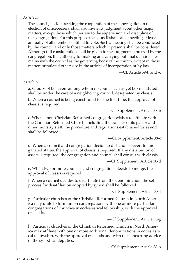# *Article 37*

The council, besides seeking the cooperation of the congregation in the election of officebearers, shall also invite its judgment about other major matters, except those which pertain to the supervision and discipline of the congregation. For this purpose the council shall call a meeting at least annually of all members entitled to vote. Such a meeting shall be conducted by the council, and only those matters which it presents shall be considered. Although full consideration shall be given to the judgment expressed by the congregation, the authority for making and carrying out final decisions remains with the council as the governing body of the church, except in those matters stipulated otherwise in the articles of incorporation or by law.

—Cf. Article 59-b and -c

# *Article 38*

a. Groups of believers among whom no council can as yet be constituted shall be under the care of a neighboring council, designated by classis.

b. When a council is being constituted for the first time, the approval of classis is required.

—Cf. Supplement, Article 38-b

c. When a non-Christian Reformed congregation wishes to affiliate with the Christian Reformed Church, including the transfer of its pastor and other ministry staff, the procedure and regulations established by synod shall be followed.

—Cf. Supplement, Article 38-c

d. When a council and congregation decide to disband or revert to unorganized status, the approval of classis is required. If any distribution of assets is required, the congregation and council shall consult with classis.

—Cf. Supplement, Article 38-d

e. When two or more councils and congregations decide to merge, the approval of classis is required.

f. When a council decides to disaffiliate from the denomination, the set process for disaffiliation adopted by synod shall be followed.

—Cf. Supplement, Article 38-f

g. Particular churches of the Christian Reformed Church in North America may unite to form union congregations with one or more particular congregations of churches in ecclesiastical fellowship, with the approval of classis.

—Cf. Supplement, Article 38-g

h. Particular churches of the Christian Reformed Church in North America may affiliate with one or more additional denominations in ecclesiastical fellowship, with the approval of classis and with the concurring advice of the synodical deputies.

—Cf. Supplement, Article 38-h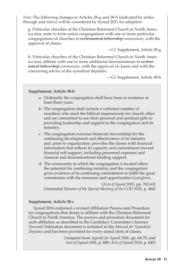*Note:* The following changes to Articles 38-g and 38-h (indicated by strikethrough and *italics*) will be considered by Synod 2021 for adoption:

g. Particular churches of the Christian Reformed Church in North America may unite to form union congregations with one or more particular congregations of churches in ecclesiastical fellowship *communion*, with the approval of classis.

—Cf. Supplement, Article 38-g

h. Particular churches of the Christian Reformed Church in North America may affiliate with one or more additional denominations in ecclesiastical fellowship *communion*, with the approval of classis and with the concurring advice of the synodical deputies.

—Cf. Supplement, Article 38-h

### **Supplement, Article 38-b**

- a. Ordinarily the congregation shall have been in existence at least three years.
- b. The congregation shall include a sufficient number of members who meet the biblical requirements for church office and are committed to use their personal and spiritual gifts in providing leadership and support to the congregation and its ministry.
- c. The congregation exercises financial stewardship for the continuing development and effectiveness of its ministry and, prior to organization, provides the classis with financial information that reflects its capacity and commitment toward financial self-support, including personnel expenses and classical and denominational funding support.
- d. The community in which the congregation is located offers the potential for continuing ministry, and the congregation gives evidence of its continuing commitment to fulfill the great commission with the resources and opportunities God gives.

(*Acts of Synod 2005,* pp. 762-63) (Amended *Minutes of the Special Meeting of the COD 2020,* p. 464)

# **Supplement, Article 38-c**

Synod 2016 endorsed a revised Affiliation Process and Procedure for congregations that desire to affiliate with the Christian Reformed Church in North America. The process and procedure document for such affiliation as described in the Candidacy Committee's Journey Toward Ordination document is included in the *Manual for Synodical Deputies* and has been provided for every stated clerk of classis.

> (Adapted from *Agenda for Synod 2006*, pp. 64-70, and *Acts of Synod 2006*, p. 680; *Acts of Synod 2016,* p. 845)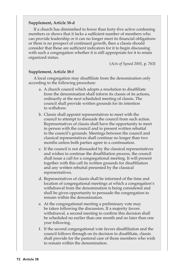### **Supplement, Article 38-d**

If a church has diminished to fewer than forty-five active confessing members or shows that it lacks a sufficient number of members who can provide leadership or it can no longer meet its financial obligations or there is no prospect of continued growth, then a classis should consider that these are sufficient indicators for it to begin discussing with such a congregation whether it is still appropriate for it to retain organized status.

(*Acts of Synod 2005,* p. 763)

#### **Supplement, Article 38-f**

A local congregation may disaffiliate from the denomination only according to the following procedure:

- a. A church council which adopts a resolution to disaffiliate from the denomination shall inform its classis of its actions, ordinarily at the next scheduled meeting of classis. The council shall provide written grounds for its intention to withdraw.
- b. Classis shall appoint representatives to meet with the council to attempt to dissuade the council from such action. Representatives of classis shall have the opportunity to meet in person with the council and to present written rebuttal to the council's grounds. Meetings between the council and classical representatives shall continue no longer than two months unless both parties agree to a continuation.
- c. If the council is not dissuaded by the classical representatives and wishes to continue the disaffiliation process, the council shall issue a call for a congregational meeting. It will present together with this call its written grounds for disaffiliation and any written rebuttal presented by the classical representatives.
- d. Representatives of classis shall be informed of the time and location of congregational meetings at which a congregation's withdrawal from the denomination is being considered and shall be given opportunity to persuade the congregation to remain within the denomination.
- e. At the congregational meeting a preliminary vote may be taken following the discussion. If a majority favors withdrawal, a second meeting to confirm this decision shall be scheduled no earlier than one month and no later than one year following.
- f. If the second congregational vote favors disaffiliation and the council follows through on its decision to disaffiliate, classis shall provide for the pastoral care of those members who wish to remain within the denomination.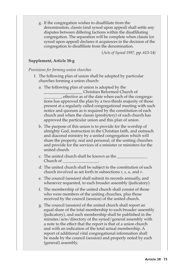g. If the congregation wishes to disaffiliate from the denomination, classis (and synod upon appeal) shall settle any disputes between differing factions within the disaffiliating congregation. The separation will be complete when classis (or synod upon appeal) declares it acquiesces in the decision of the congregation to disaffiliate from the denomination.

(*Acts of Synod 1997,* pp. 613-14)

### **Supplement, Article 38-g**

*Provisions for forming union churches*

- 1. The following plan of union shall be adopted by particular churches forming a union church:
	- a. The following plan of union is adopted by the

\_\_\_\_\_\_\_\_\_\_\_\_\_\_\_\_\_\_\_ Christian Reformed Church of , effective as of the date when each of the congregations has approved the plan by a two-thirds majority of those present at a regularly called congregational meeting with such notice and quorum as is required by the constitution of each church and when the classis (presbytery) of each church has approved the particular union and this plan of union.

- b. The purpose of this union is to provide for the worship of almighty God, instruction in the Christian faith, and outreach and diaconal ministry by a united congregation which will share the property, real and personal, of the uniting churches and provide for the services of a minister or ministers for the united church.
- c. The united church shall be known as the Church of \_
- d. The united church shall be subject to the constitution of each church involved as set forth in subsections *r*, *s*, *u*, and *v*.
- e. The council (session) shall submit its records annually, and whenever requested, to each broader assembly (judicatory).
- f. The membership of the united church shall consist of those who were members of the uniting churches, plus those received by the council (session) of the united church.
- g. The council (session) of the united church shall report an equal share of the total membership to each broader assembly (judicatory), and such membership shall be published in the minutes/acts/directory of the synod/general assembly with a note to the effect that the report is that of a union church and with an indication of the total actual membership. A report of additional vital congregational information shall be made by the council (session) and properly noted by each (general) assembly.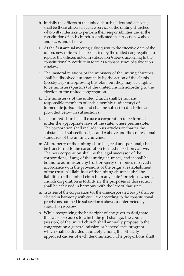- h. Initially the officers of the united church (elders and deacons) shall be those officers in active service of the uniting churches, who will undertake to perform their responsibilities under the constitution of each church, as indicated in subsections *d* above and *r, s, u*, and *v* below.
- i. At the first annual meeting subsequent to the effective date of the union, new officers shall be elected by the united congregation to replace the officers noted in subsection *h* above according to the constitutional procedure in force as a consequence of subsection *v* below.
- j. The pastoral relations of the ministers of the uniting churches shall be dissolved automatically by the action of the classis (presbytery) in approving this plan, but they may be eligible to be ministers (pastors) of the united church according to the election of the united congregation.
- k. The minister/s of the united church shall be full and responsible members of each assembly (judicatory) of immediate jurisdiction and shall be subject to discipline as provided below in subsection *s*.
- l. The united church shall cause a corporation to be formed under the appropriate laws of the state, where permissible. The corporation shall include in its articles or charter the substance of subsections *b, c*, and *d* above and the confessional standards of the uniting churches.
- m.All property of the uniting churches, real and personal, shall be transferred to the corporation formed in section *l* above. The new corporation shall be the legal successor of the corporations, if any, of the uniting churches, and it shall be bound to administer any trust property or monies received in accordance with the provisions of the original establishment of the trust. All liabilities of the uniting churches shall be liabilities of the united church. In any state/ province where a church corporation is forbidden, the purposes of this section shall be achieved in harmony with the law of that state.
- n. Trustees of the corporation (or the unincorporated body) shall be elected in harmony with civil law according to the constitutional provisions outlined in subsection *d* above, as interpreted by subsection *v* below.
- o. While recognizing the basic right of any giver to designate the cause or causes to which the gift shall go, the council (session) of the united church shall annually propose to the congregation a general mission or benevolence program which shall be divided equitably among the officially approved causes of each denomination. The proportions shall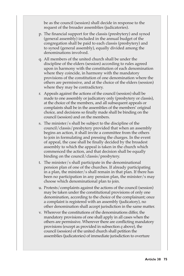be as the council (session) shall decide in response to the request of the broader assemblies (judicatories).

- p. The financial support for the classis (presbytery) and synod (general assembly) included in the annual budget of the congregation shall be paid to each classis (presbytery) and to synod (general assembly), equally divided among the denominations involved.
- q. All members of the united church shall be under the discipline of the elders (session) according to rules agreed upon in harmony with the constitution of each denomination where they coincide, in harmony with the mandatory provisions of the constitution of one denomination where the others are permissive, and at the choice of the elders (session) where they may be contradictory.
- r. Appeals against the actions of the council (session) shall be made to one assembly or judicatory only (presbytery or classis), at the choice of the members, and all subsequent appeals or complaints shall be in the assemblies of the members' original choice, and decisions so finally made shall be binding on the council (session) and on the members.
- s. The minister/s shall be subject to the discipline of the council/classis/presbytery provided that when an assembly begins an action, it shall invite a committee from the others to join in formulating and pressing the charges. In the event of appeal, the case shall be finally decided by the broadest assembly to which the appeal is taken in the church which commenced the action, and that decision shall be equally binding on the council/classis/presbytery.
- t. The minister/s shall participate in the denominational pension plan of one of the churches. If already participating in a plan, the minister/s shall remain in that plan. If there has been no participation in any pension plan, the minister/s may choose which denominational plan to join.
- u. Protests/complaints against the actions of the council (session) may be taken under the constitutional provisions of only one denomination, according to the choice of the complainant; once a complaint is registered with an assembly (judicatory), no other denomination shall accept jurisdiction in the same matter.
- v. Wherever the constitutions of the denominations differ, the mandatory provisions of one shall apply in all cases when the others are permissive. Wherever there are conflicting mandatory provisions (except as provided in subsection *q* above), the council (session) of the united church shall petition the assemblies (judicatories) of immediate jurisdiction to overture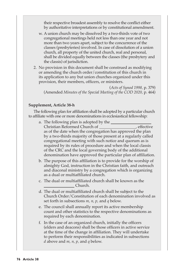their respective broadest assembly to resolve the conflict either by authoritative interpretations or by constitutional amendment.

- w. A union church may be dissolved by a two-thirds vote of two congregational meetings held not less than one year and not more than two years apart, subject to the concurrence of the classes (presbyteries) involved. In case of dissolution of a union church, all property of the united church, real and personal, shall be divided equally between the classes (the presbytery and the classis) of jurisdiction.
- 2. No provision in this document shall be construed as modifying or amending the church order/constitution of this church in its application to any but union churches organized under this provision, their members, officers, or ministers.

(*Acts of Synod 1998,* p. 379) (Amended *Minutes of the Special Meeting of the COD 2020,* p. 464)

#### **Supplement, Article 38-h**

The following plan for affiliation shall be adopted by a particular church to affiliate with one or more denominations in ecclesiastical fellowship:

- a. The following plan is adopted by the Christian Reformed Church of **Church Church Church**, effective as of the date when the congregation has approved the plan by a two-thirds majority of those present at a regularly called congregational meeting with such notice and quorum as is required by its rules of procedure and when the local classis of the CRC and the local governing body of the additional denomination have approved the particular plan of affiliation.
- b. The purpose of this affiliation is to provide for the worship of almighty God, instruction in the Christian faith, and outreach and diaconal ministry by a congregation which is organizing as a dual or multiaffiliated church.
- c. The dual or multiaffiliated church shall be known as the Church.
- d. The dual or multiaffiliated church shall be subject to the Church Order/Constitution of each denomination involved as set forth in subsections *m, n, p,* and *q* below.
- e. The council shall annually report its active membership count and other statistics to the respective denominations as required by each denomination.
- f. In the case of an organized church, initially the officers (elders and deacons) shall be those officers in active service at the time of the change in affiliation. They will undertake to perform their responsibilities as indicated in subsections *d* above and *m, n, p,* and *q* below.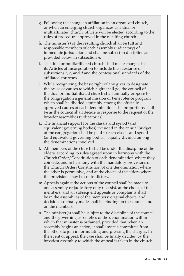- g. Following the change in affiliation in an organized church, or when an emerging church organizes as a dual or multiaffiliated church, officers will be elected according to the rules of procedure approved in the resulting church.
- h. The minister(s) of the resulting church shall be full and responsible members of each assembly (judicatory) of immediate jurisdiction and shall be subject to discipline as provided below in subsection *n*.
- i. The dual or multiaffiliated church shall make changes in its Articles of Incorporation to include the substance of subsections *b, c,* and *d* and the confessional standards of the affiliated churches.
- j. While recognizing the basic right of any giver to designate the cause or causes to which a gift shall go, the council of the dual or multiaffiliated church shall annually propose to the congregation a general mission or benevolence program which shall be divided equitably among the officially approved causes of each denomination. The proportions shall be as the council shall decide in response to the request of the broader assemblies (judicatories).
- k. The financial support for the classis and synod (and equivalent governing bodies) included in the annual budget of the congregation shall be paid to each classis and synod (and equivalent governing bodies), equally divided among the denominations involved.
- l. All members of the church shall be under the discipline of the elders, according to rules agreed upon in harmony with the Church Order/Constitution of each denomination where they coincide, and in harmony with the mandatory provisions of the Church Order/Constitution of one denomination where the other is permissive, and at the choice of the elders where the provisions may be contradictory.
- m.Appeals against the actions of the council shall be made to one assembly or judicatory only (classis), at the choice of the members, and all subsequent appeals or complaints shall be in the assemblies of the members' original choice, and decisions so finally made shall be binding on the council and on the members.
- n. The minister(s) shall be subject to the discipline of the council and the governing assemblies of the denomination within which that minister is ordained, provided that when an assembly begins an action, it shall invite a committee from the others to join in formulating and pressing the charges. In the event of appeal, the case shall be finally decided by the broadest assembly to which the appeal is taken in the church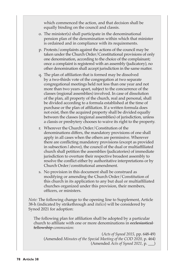which commenced the action, and that decision shall be equally binding on the council and classis.

- o. The minister(s) shall participate in the denominational pension plan of the denomination within which that minister is ordained and in compliance with its requirements.
- p. Protests/complaints against the actions of the council may be taken under the Church Order/Constitutional provisions of only one denomination, according to the choice of the complainant; once a complaint is registered with an assembly (judicatory), no other denomination shall accept jurisdiction in the same matter.
- q. The plan of affiliation that is formed may be dissolved by a two-thirds vote of the congregation at two separate congregational meetings held not less than one year and not more than two years apart, subject to the concurrence of the classes (regional assemblies) involved. In case of dissolution of the plan, all property of the church, real and personal, shall be divided according to a formula established at the time of purchase or the plan of affiliation. If a written formula does not exist, then the acquired property shall be divided equally between the classes (regional assemblies) of jurisdiction, unless a classis or presbytery chooses to waive its right to the property.
- r. Wherever the Church Order/Constitution of the denominations differs, the mandatory provisions of one shall apply in all cases when the others are permissive. Wherever there are conflicting mandatory provisions (except as provided in subsection *l* above), the council of the dual or multiaffiliated church shall petition the assemblies (judicatories) of immediate jurisdiction to overture their respective broadest assembly to resolve the conflict either by authoritative interpretations or by Church Order/constitutional amendment.
- s. No provision in this document shall be construed as modifying or amending the Church Order/Constitution of this church in its application to any but dual or multiaffiliated churches organized under this provision, their members, officers, or ministers.

*Note:* The following change to the opening line to Supplement, Article 38-h (indicated by strikethrough and *italics*) will be considered by Synod 2021 for adoption:

The following plan for affiliation shall be adopted by a particular church to affiliate with one or more denominations in ecclesiastical fellowship *communion*:

(*Acts of Synod 2015,* pp. 648-49) (Amended *Minutes of the Special Meeting of the COD 2020,* p. 464) (Amended *Acts of Synod 2021,* p. \_\_\_)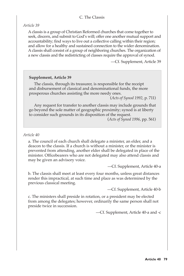### C. The Classis

*Article 39*

A classis is a group of Christian Reformed churches that come together to seek, discern, and submit to God's will; offer one another mutual support and accountability; find ways to live out a collective calling within their region; and allow for a healthy and sustained connection to the wider denomination. A classis shall consist of a group of neighboring churches. The organization of a new classis and the redistricting of classes require the approval of synod.

—Cf. Supplement, Article 39

#### **Supplement, Article 39**

The classis, through its treasurer, is responsible for the receipt and disbursement of classical and denominational funds, the more prosperous churches assisting the more needy ones.

(*Acts of Synod 1992*, p. 711)

Any request for transfer to another classis may include grounds that go beyond the sole matter of geographic proximity; synod is at liberty to consider such grounds in its disposition of the request.

(*Acts of Synod 1996*, pp. 561)

#### *Article 40*

a. The council of each church shall delegate a minister, an elder, and a deacon to the classis. If a church is without a minister, or the minister is prevented from attending, another elder shall be delegated in place of the minister. Officebearers who are not delegated may also attend classis and may be given an advisory voice.

—Cf. Supplement, Article 40-a

b. The classis shall meet at least every four months, unless great distances render this impractical, at such time and place as was determined by the previous classical meeting.

—Cf. Supplement, Article 40-b

c. The ministers shall preside in rotation, or a president may be elected from among the delegates; however, ordinarily the same person shall not preside twice in succession.

—Cf. Supplement, Article 40-a and -c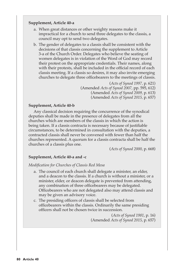### **Supplement, Article 40-a**

- a. When great distances or other weighty reasons make it impractical for a church to send three delegates to the classis, a council may opt to send two delegates.
- b. The gender of delegates to a classis shall be consistent with the decisions of that classis concerning the supplement to Article 3-a of the Church Order. Delegates who believe the seating of women delegates is in violation of the Word of God may record their protest on the appropriate credentials. Their names, along with their protests, shall be included in the official record of each classis meeting. If a classis so desires, it may also invite emerging churches to delegate three officebearers to the meetings of classis.

(*Acts of Synod 1997,* p. 621) (Amended *Acts of Synod 2007,* pp. 595, 612) (Amended *Acts of Synod 2009,* p. 613) (Amended *Acts of Synod 2015,* p. 657)

#### **Supplement, Article 40-b**

Any classical decision requiring the concurrence of the synodical deputies shall be made in the presence of delegates from all the churches which are members of the classis in which the action is being taken. If a classis contracta is necessary because of justifiable circumstances, to be determined in consultation with the deputies, a contracted classis shall never be convened with fewer than half the churches represented. A quorum for a classis contracta shall be half the churches of a classis plus one.

(*Acts of Synod 2000*, p. 668)

#### **Supplement, Article 40-a and -c**

*Modification for Churches of Classis Red Mesa*

- a. The council of each church shall delegate a minister, an elder, and a deacon to the classis. If a church is without a minister, or a minister, elder, or deacon delegate is prevented from attending, any combination of three officebearers may be delegated. Officebearers who are not delegated also may attend classis and may be given an advisory voice.
- c. The presiding officers of classis shall be selected from officebearers within the classis. Ordinarily the same presiding officers shall not be chosen twice in succession.

(*Acts of Synod 1981*, p. 16) (Amended *Acts of Synod 2015*, p. 657)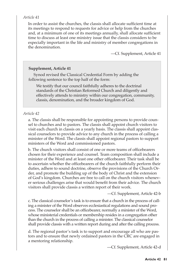### *Article 41*

In order to assist the churches, the classis shall allocate sufficient time at its meetings to respond to requests for advice or help from the churches and, at a minimum of one of its meetings annually, shall allocate sufficient time to discuss at least one ministry issue that the classis considers to be especially important in the life and ministry of member congregations in the denomination.

—Cf. Supplement, Article 41

#### **Supplement, Article 41**

Synod revised the Classical Credential Form by adding the following sentence to the top half of the form:

We testify that our council faithfully adheres to the doctrinal standards of the Christian Reformed Church and diligently and effectively attends to ministry within our congregation, community, classis, denomination, and the broader kingdom of God.

# *Article 42*

a. The classis shall be responsible for appointing persons to provide counsel to churches and to pastors. The classis shall appoint church visitors to visit each church in classis on a yearly basis. The classis shall appoint classical counselors to provide advice to any church in the process of calling a minister of the Word. The classis shall appoint regional pastors to support ministers of the Word and commissioned pastors.

b. The church visitors shall consist of one or more teams of officebearers chosen for their experience and counsel. Team composition shall include a minister of the Word and at least one other officebearer. Their task shall be to ascertain whether the officebearers of the church faithfully perform their duties, adhere to sound doctrine, observe the provisions of the Church Order, and promote the building up of the body of Christ and the extension of God's kingdom. Churches are free to call on the church visitors whenever serious challenges arise that would benefit from their advice. The church visitors shall provide classis a written report of their work.

—Cf. Supplement, Article 42-b

c. The classical counselor's task is to ensure that a church in the process of calling a minister of the Word observes ecclesiastical regulations and sound process. The counselor shall be an officebearer, normally a minister of the Word, whose ministerial credentials or membership resides in a congregation other than the church in the process of calling a minister. The classical counselor shall provide classis with a written report during and after the calling process.

d. The regional pastor's task is to support and encourage all who are pastors and to ensure that newly ordained pastors in the CRC are engaged in a mentoring relationship.

—Cf. Supplement, Article 42-d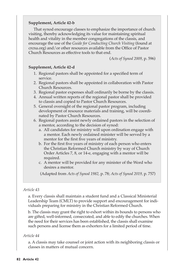### **Supplement, Article 42-b**

That synod encourage classes to emphasize the importance of church visiting, thereby acknowledging its value for maintaining spiritual health and vitality in the member congregations of the classis, and encourage the use of the *Guide for Conducting Church Visiting* (found at crcna.org) and/or other resources available from the Office of Pastor Church Resources as effective tools to that end.

(*Acts of Synod 2009*, p. 596)

#### **Supplement, Article 42-d**

- 1. Regional pastors shall be appointed for a specified term of service.
- 2. Regional pastors shall be appointed in collaboration with Pastor Church Resources.
- 3. Regional pastor expenses shall ordinarily be borne by the classis.
- 4. Annual written reports of the regional pastor shall be provided to classis and copied to Pastor Church Resources.
- 5. General oversight of the regional pastor program, including development of resource materials and training, will be coordinated by Pastor Church Resources.
- 6. Regional pastors assist newly ordained pastors in the selection of a mentor, according to the decision of synod:
	- a. All candidates for ministry will upon ordination engage with a mentor. Each newly ordained minister will be served by a mentor for the first five years of ministry.
	- b. For the first five years of ministry of each person who enters the Christian Reformed Church ministry by way of Church Order Articles 7, 8, or 14-e, engaging with a mentor will be required.
	- c. A mentor will be provided for any minister of the Word who desires a mentor.

(Adapted from *Acts of Synod 1982,* p. 78; *Acts of Synod 2019,* p. 757)

#### *Article 43*

a. Every classis shall maintain a student fund and a Classical Ministerial Leadership Team (CMLT) to provide support and encouragement for individuals preparing for ministry in the Christian Reformed Church.

b. The classis may grant the right to exhort within its bounds to persons who are gifted, well-informed, consecrated, and able to edify the churches. When the need for their services has been established, the classis shall examine such persons and license them as exhorters for a limited period of time.

#### *Article 44*

a. A classis may take counsel or joint action with its neighboring classis or classes in matters of mutual concern.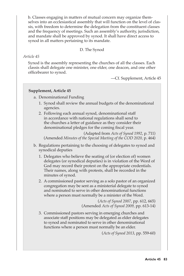b. Classes engaging in matters of mutual concern may organize themselves into an ecclesiastical assembly that will function on the level of classis, with freedom to determine the delegation from the constituent classes and the frequency of meetings. Such an assembly's authority, jurisdiction, and mandate shall be approved by synod. It shall have direct access to synod in all matters pertaining to its mandate.

D. The Synod

### *Article 45*

Synod is the assembly representing the churches of all the classes. Each classis shall delegate one minister, one elder, one deacon, and one other officebearer to synod.

—Cf. Supplement, Article 45

# **Supplement, Article 45**

- a. Denominational Funding
	- 1. Synod shall review the annual budgets of the denominational agencies.
	- 2. Following each annual synod, denominational staff in accordance with national regulations shall send to the churches a letter of guidance as they consider their denominational pledges for the coming fiscal year.

(Adapted from *Acts of Synod 1992*, p. 711)

(Amended *Minutes of the Special Meeting of the COD 2020,* p. 464)

- b. Regulations pertaining to the choosing of delegates to synod and synodical deputies
	- 1. Delegates who believe the seating of (or election of) women delegates (or synodical deputies) is in violation of the Word of God may record their protest on the appropriate credentials. Their names, along with protests, shall be recorded in the minutes of synod.
	- 2. A commissioned pastor serving as a solo pastor of an organized congregation may be sent as a ministerial delegate to synod and nominated to serve in other denominational functions where a person must normally be a minister of the Word.

(*Acts of Synod 2007*, pp. 612, 665) (Amended *Acts of Synod 2009,* pp. 613-14)

3. Commissioned pastors serving in emerging churches and associate staff positions may be delegated as elder delegates to synod and nominated to serve in other denominational functions where a person must normally be an elder.

(*Acts of Synod 2013*, pp. 559-60)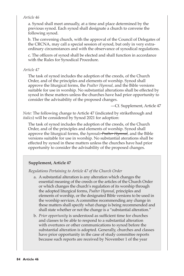### *Article 46*

a. Synod shall meet annually, at a time and place determined by the previous synod. Each synod shall designate a church to convene the following synod.

b. The convening church, with the approval of the Council of Delegates of the CRCNA, may call a special session of synod, but only in very extraordinary circumstances and with the observance of synodical regulations.

c. The officers of synod shall be elected and shall function in accordance with the Rules for Synodical Procedure.

# *Article 47*

The task of synod includes the adoption of the creeds, of the Church Order, and of the principles and elements of worship. Synod shall approve the liturgical forms, the *Psalter Hymnal,* and the Bible versions suitable for use in worship. No substantial alterations shall be effected by synod in these matters unless the churches have had prior opportunity to consider the advisability of the proposed changes.

—Cf. Supplement, Article 47

*Note:* The following change to Article 47 (indicated by strikethrough and *italics*) will be considered by Synod 2021 for adoption:

The task of synod includes the adoption of the creeds, of the Church Order, and of the principles and elements of worship. Synod shall approve the liturgical forms, the *hymnals Psalter Hymnal*, and the Bible versions suitable for use in worship. No substantial aterations shall be effected by synod in these matters unless the churches have had prior opportunity to consider the advisability of the proposed changes.

# **Supplement, Article 47**

*Regulations Pertaining to Article 47 of the Church Order*

- a. A substantial alteration is any alteration which changes the essential meaning of the creeds or the articles of the Church Order or which changes the church's regulation of its worship through the adopted liturgical forms, *Psalter Hymnal*, principles and elements of worship, or the designated Bible versions to be used in the worship services. A committee recommending any change in these matters shall specify what change is being recommended and shall state whether or not the change is a "substantial alteration."
- b. *Prior opportunity* is understood as sufficient time for churches and classes to be able to respond to a substantial alteration with overtures or other communications to synod before the substantial alteration is adopted. Generally, churches and classes have prior opportunity in the case of study committee reports because such reports are received by November 1 of the year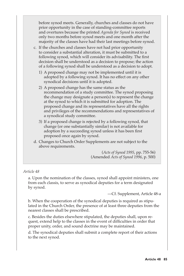before synod meets. Generally, churches and classes do not have prior opportunity in the case of standing-committee reports and overtures because the printed *Agenda for Synod* is received only two months before synod meets and one month after the majority of the classes have had their last meetings before synod.

- c. If the churches and classes have not had prior opportunity to consider a substantial alteration, it must be submitted to a following synod, which will consider its advisability. The first decision shall be understood as a decision to propose; the action of a following synod shall be understood as a decision to adopt.
	- 1) A proposed change may not be implemented until it is adopted by a following synod. It has no effect on any other synodical decisions until it is adopted.
	- 2) A proposed change has the same status as the recommendation of a study committee. The synod proposing the change may designate a person(s) to represent the change at the synod to which it is submitted for adoption. The proposed change and its representatives have all the rights and privileges of the recommendations and representatives of a synodical study committee.
	- 3) If a proposed change is rejected by a following synod, that change (or one substantially similar) is not available for adoption by a succeeding synod unless it has been first proposed once again by synod.
- d. Changes to Church Order Supplements are not subject to the above requirements.

(*Acts of Synod 1995*, pp. 755-56) (Amended *Acts of Synod 1996*, p. 500)

# *Article 48*

a. Upon the nomination of the classes, synod shall appoint ministers, one from each classis, to serve as synodical deputies for a term designated by synod.

—Cf. Supplement, Article 48-a

b. When the cooperation of the synodical deputies is required as stipulated in the Church Order, the presence of at least three deputies from the nearest classes shall be prescribed.

c. Besides the duties elsewhere stipulated, the deputies shall, upon request, extend help to the classes in the event of difficulties in order that proper unity, order, and sound doctrine may be maintained.

d. The synodical deputies shall submit a complete report of their actions to the next synod.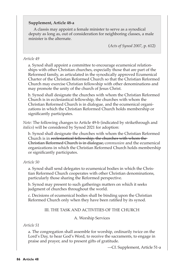# **Supplement, Article 48-a**

A classis may appoint a female minister to serve as a synodical deputy as long as, out of consideration for neighboring classes, a male minister is the alternate.

(*Acts of Synod 2007*, p. 612)

### *Article 49*

a. Synod shall appoint a committee to encourage ecumenical relationships with other Christian churches, especially those that are part of the Reformed family, as articulated in the synodically approved Ecumenical Charter of the Christian Reformed Church so that the Christian Reformed Church may exercise Christian fellowship with other denominations and may promote the unity of the church of Jesus Christ.

b. Synod shall designate the churches with whom the Christian Reformed Church is in ecclesiastical fellowship, the churches with whom the Christian Reformed Church is in dialogue, and the ecumenical organizations in which the Christian Reformed Church holds membership or significantly participates.

*Note:* The following changes to Article 49-b (indicated by strikethrough and *italics*) will be considered by Synod 2021 for adoption:

b. Synod shall designate the churches with whom the Christian Reformed Church is in ecclesiastical fellowship, the churches with whom the Christian Reformed Church is in dialogue, *communion* and the ecumenical organizations in which the Christian Reformed Church holds membership or significantly participates.

# *Article 50*

a. Synod shall send delegates to ecumenical bodies in which the Christian Reformed Church cooperates with other Christian denominations, particularly those sharing the Reformed perspective.

b. Synod may present to such gatherings matters on which it seeks judgment of churches throughout the world.

c. Decisions of ecumenical bodies shall be binding upon the Christian Reformed Church only when they have been ratified by its synod.

# III. THE TASK AND ACTIVITIES OF THE CHURCH

A. Worship Services

# *Article 51*

a. The congregation shall assemble for worship, ordinarily twice on the Lord's Day, to hear God's Word, to receive the sacraments, to engage in praise and prayer, and to present gifts of gratitude.

—Cf. Supplement, Article 51-a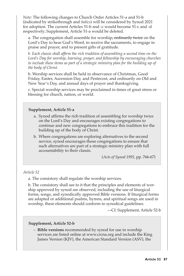*Note:* The following changes to Church Order Articles 51-a and 51-b (indicated by strikethrough and *italics*) will be considered by Synod 2021 for adoption. The current Articles 51-b and -c would become 51-c and -d respectively; Supplement, Article 51-a would be deleted.

a. The congregation shall assemble for worship<del>, ordinarily twice</del> on the Lord's Day to hear God's Word, to receive the sacraments, to engage in praise and prayer, and to present gifts of gratitude.

*b. Each classis shall affirm the rich tradition of assembling a second time on the Lord's Day for worship, learning, prayer, and fellowship by encouraging churches*  to include these items as part of a strategic ministry plan for the building up of *the body of Christ.*

b. Worship services shall be held in observance of Christmas, Good Friday, Easter, Ascension Day, and Pentecost, and ordinarily on Old and New Year's Day, and annual days of prayer and thanksgiving.

c. Special worship services may be proclaimed in times of great stress or blessing for church, nation, or world.

# **Supplement, Article 51-a**

- a. Synod affirms the rich tradition of assembling for worship twice on the Lord's Day and encourages existing congregations to continue and new congregations to embrace this tradition for the building up of the body of Christ.
- b. Where congregations are exploring alternatives to the second service, synod encourages those congregations to ensure that such alternatives are part of a strategic ministry plan with full accountability to their classis.

(*Acts of Synod 1995*, pp. 766-67)

# *Article 52*

a. The consistory shall regulate the worship services.

b. The consistory shall see to it that the principles and elements of worship approved by synod are observed, including the use of liturgical forms, songs, and synodically approved Bible versions. If liturgical forms are adapted or additional psalms, hymns, and spiritual songs are used in worship, these elements should conform to synodical guidelines.

—Cf. Supplement, Article 52-b

#### **Supplement, Article 52-b**

– **Bible versions** recommended by synod for use in worship services are listed online at www.crcna.org and include the King James Version (KJV), the American Standard Version (ASV), the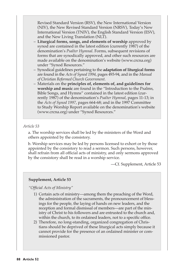Revised Standard Version (RSV), the New International Version (NIV), the New Revised Standard Version (NRSV), Today's New International Version (TNIV), the English Standard Version (ESV), and the New Living Translation (NLT).

- **Liturgical forms, songs, and elements of worship** approved by synod are contained in the latest edition (currently 1987) of the denomination's *Psalter Hymnal*. Forms, subsequent revisions of forms that are synodically approved, and other such resources are made available on the denomination's website (www.crcna.org) under "Synod Resources."
- Synodical guidelines pertaining to the **adaptation of liturgical forms**  are found in the *Acts of Synod 1994*, pages 493-94, and in the *Manual of Christian Reformed Church Government*.
- Materials on the **principles of, elements of, and guidelines for worship and music** are found in the "Introduction to the Psalms, Bible Songs, and Hymns" contained in the latest edition (currently 1987) of the denomination's *Psalter Hymnal*, pages 11-13; in the *Acts of Synod 1997*, pages 664-68; and in the 1997 Committee to Study Worship Report available on the denomination's website (www.crcna.org) under "Synod Resources."

### *Article 53*

a. The worship services shall be led by the ministers of the Word and others appointed by the consistory.

b. Worship services may be led by persons licensed to exhort or by those appointed by the consistory to read a sermon. Such persons, however, shall refrain from all official acts of ministry, and only sermons approved by the consistory shall be read in a worship service.

—Cf. Supplement, Article 53

#### **Supplement, Article 53**

*"Official Acts of Ministry"*

- 1) Certain acts of ministry—among them the preaching of the Word, the administration of the sacraments, the pronouncement of blessings for the people, the laying of hands on new leaders, and the reception and formal dismissal of members—are part of the ministry of Christ to his followers and are entrusted to the church and, within the church, to its ordained leaders, not to a specific office.
- 2) Therefore, no long-standing, organized congregation of Christians should be deprived of these liturgical acts simply because it cannot provide for the presence of an ordained minister or commissioned pastor.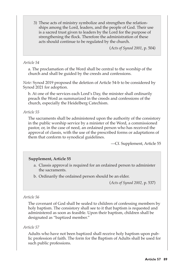3) These acts of ministry symbolize and strengthen the relationships among the Lord, leaders, and the people of God. Their use is a sacred trust given to leaders by the Lord for the purpose of strengthening the flock. Therefore the administration of these acts should continue to be regulated by the church.

(*Acts of Synod 2001*, p. 504)

# *Article 54*

a. The proclamation of the Word shall be central to the worship of the church and shall be guided by the creeds and confessions.

*Note:* Synod 2019 proposed the deletion of Article 54-b to be considered by Synod 2021 for adoption.

b. At one of the services each Lord's Day, the minister shall ordinarily preach the Word as summarized in the creeds and confessions of the church, especially the Heidelberg Catechism.

### *Article 55*

The sacraments shall be administered upon the authority of the consistory in the public worship service by a minister of the Word, a commissioned pastor, or, in the case of need, an ordained person who has received the approval of classis, with the use of the prescribed forms or adaptations of them that conform to synodical guidelines.

—Cf. Supplement, Article 55

#### **Supplement, Article 55**

- a. Classis approval is required for an ordained person to administer the sacraments.
- b. Ordinarily the ordained person should be an elder.

(*Acts of Synod 2002,* p. 537)

#### *Article 56*

The covenant of God shall be sealed to children of confessing members by holy baptism. The consistory shall see to it that baptism is requested and administered as soon as feasible. Upon their baptism, children shall be designated as "baptized member."

#### *Article 57*

Adults who have not been baptized shall receive holy baptism upon public profession of faith. The form for the Baptism of Adults shall be used for such public professions.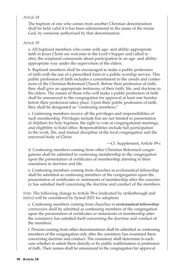# *Article 58*

The baptism of one who comes from another Christian denomination shall be held valid if it has been administered in the name of the triune God, by someone authorized by that denomination.

# *Article 59*

a. All baptized members who come with age- and ability-appropriate faith in Jesus Christ are welcome to the Lord's Supper and called to obey the scriptural commands about participation in an age- and abilityappropriate way under the supervision of the elders.

b. Baptized members shall be encouraged to make a public profession of faith with the use of a prescribed form in a public worship service. This public profession of faith includes a commitment to the creeds and confessions of the Christian Reformed Church. Before their profession of faith, they shall give an appropriate testimony of their faith, life, and doctrine to the elders. The names of those who will make a public profession of faith shall be announced to the congregation for approval at least one Sunday before their profession takes place. Upon their public profession of faith, they shall be designated as "confessing members."

c. Confessing members receive all the privileges and responsibilities of such membership. Privileges include but are not limited to presentation of children for holy baptism, the right to vote at congregational meetings, and eligibility to hold office. Responsibilities include full participation in the work, life, and mutual discipline of the local congregation and the universal body of Christ.

—Cf. Supplement, Article 59-c

d. Confessing members coming from other Christian Reformed congregations shall be admitted to confessing membership in the congregation upon the presentation of certificates of membership attesting to their soundness in doctrine and life.

e. Confessing members coming from churches in ecclesiastical fellowship shall be admitted as confessing members of the congregation upon the presentation of certificates or statements of membership after the consistory has satisfied itself concerning the doctrine and conduct of the members.

*Note:* The following change to Article 59-e (indicated by strikethrough and *italics*) will be considered by Synod 2021 for adoption:

e. Confessing members coming from churches in ecclesiastical fellowship *communion* shall be admitted as confessing members of the congregation upon the presentation of certificates or statements of membership after the consistory has satisfied itself concerning the doctrine and conduct of the members.

f. Persons coming from other denominations shall be admitted as confessing members of the congregation only after the consistory has examined them concerning doctrine and conduct. The consistory shall determine in each case whether to admit them directly or by public reaffirmation or profession of faith. Their names shall be announced to the congregation for approval.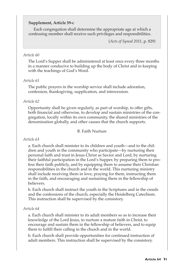# **Supplement, Article 59-c**

Each congregation shall determine the appropriate age at which a confessing member shall receive such privileges and responsibilities.

(*Acts of Synod 2011*, p. 829)

### *Article 60*

The Lord's Supper shall be administered at least once every three months in a manner conducive to building up the body of Christ and in keeping with the teachings of God's Word.

### *Article 61*

The public prayers in the worship service shall include adoration, confession, thanksgiving, supplication, and intercession.

# *Article 62*

Opportunity shall be given regularly, as part of worship, to offer gifts, both financial and otherwise, to develop and sustain ministries of the congregation, locally within its own community, the shared ministries of the denomination globally, and other causes that the church supports.

#### B. Faith Nurture

### *Article 63*

a. Each church shall minister to its children and youth—and to the children and youth in the community who participate—by nurturing their personal faith and trust in Jesus Christ as Savior and Lord, by nurturing their faithful participation in the Lord's Supper, by preparing them to profess their faith publicly, and by equipping them to assume their Christian responsibilities in the church and in the world. This nurturing ministry shall include receiving them in love, praying for them, instructing them in the faith, and encouraging and sustaining them in the fellowship of believers.

b. Each church shall instruct the youth in the Scriptures and in the creeds and the confessions of the church, especially the Heidelberg Catechism. This instruction shall be supervised by the consistory.

# *Article 64*

a. Each church shall minister to its adult members so as to increase their knowledge of the Lord Jesus, to nurture a mature faith in Christ, to encourage and sustain them in the fellowship of believers, and to equip them to fulfill their calling in the church and in the world.

b. Each church shall provide opportunities for continued instruction of adult members. This instruction shall be supervised by the consistory.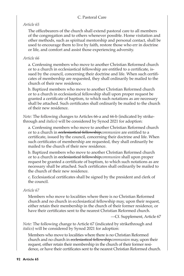# C. Pastoral Care

### *Article 65*

The officebearers of the church shall extend pastoral care to all members of the congregation and to others whenever possible. Home visitation and other methods, such as spiritual mentorship and personal contact, shall be used to encourage them to live by faith, restore those who err in doctrine or life, and comfort and assist those experiencing adversity.

### *Article 66*

a. Confessing members who move to another Christian Reformed church or to a church in ecclesiastical fellowship are entitled to a certificate, issued by the council, concerning their doctrine and life. When such certificates of membership are requested, they shall ordinarily be mailed to the church of their new residence.

b. Baptized members who move to another Christian Reformed church or to a church in ecclesiastical fellowship shall upon proper request be granted a certificate of baptism, to which such notations as are necessary shall be attached. Such certificates shall ordinarily be mailed to the church of their new residence.

*Note:* The following changes to Articles 66-a and 66-b (indicated by strikethrough and *italics*) will be considered by Synod 2021 for adoption:

a. Confessing members who move to another Christian Reformed church or to a church in ecclesiastical fellowship*communion* are entitled to a certificate, issued by the council, concerning their doctrine and life. When such certificates of membership are requested, they shall ordinarily be mailed to the church of their new residence.

b. Baptized members who move to another Christian Reformed church or to a church in ecclesiastical fellowship*communion* shall upon proper request be granted a certificate of baptism, to which such notations as are necessary shall be attached. Such certificates shall ordinarily be mailed to the church of their new residence.

c. Ecclesiastical certificates shall be signed by the president and clerk of the council.

# *Article 67*

Members who move to localities where there is no Christian Reformed church and no church in ecclesiastical fellowship may, upon their request, either retain their membership in the church of their former residence, or have their certificates sent to the nearest Christian Reformed church.

—Cf. Supplement, Article 67

*Note:* The following change to Article 67 (indicated by strikethrough and *italics*) will be considered by Synod 2021 for adoption:

Members who move to localities where there is no Christian Reformed church and no church in ecclesiastical fellowship*communion* may, upon their request, either retain their membership in the church of their former residence, or have their certificates sent to the nearest Christian Reformed church.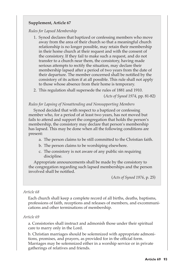# **Supplement, Article 67**

### *Rules for Lapsed Membership*

- 1. Synod declares that baptized or confessing members who move away from the area of their church so that a meaningful church relationship is no longer possible, may retain their membership in their home church at their request and with the consent of the consistory. If they fail to make such a request, and do not transfer to a church near them, the consistory, having made serious attempts to rectify the situation, may declare their membership lapsed after a period of two years from the date of their departure. The member concerned shall be notified by the consistory of its action if at all possible. This rule shall not apply to those whose absence from their home is temporary.
- 2. This regulation shall supersede the rules of 1881 and 1910.

### (*Acts of Synod 1974*, pp. 81-82)

#### *Rules for Lapsing of Nonattending and Nonsupporting Members*

Synod decided that with respect to a baptized or confessing member who, for a period of at least two years, has not moved but fails to attend and support the congregation that holds the person's membership, the consistory may declare that person's membership has lapsed. This may be done when all the following conditions are present:

- a. The person claims to be still committed to the Christian faith.
- b. The person claims to be worshiping elsewhere.
- c. The consistory is not aware of any public sin requiring discipline.

Appropriate announcements shall be made by the consistory to the congregation regarding such lapsed memberships and the person involved shall be notified.

(*Acts of Synod 1976*, p. 25)

#### *Article 68*

Each church shall keep a complete record of all births, deaths, baptisms, professions of faith, receptions and releases of members, and excommunications and other terminations of membership.

#### *Article 69*

a. Consistories shall instruct and admonish those under their spiritual care to marry only in the Lord.

b. Christian marriages should be solemnized with appropriate admonitions, promises, and prayers, as provided for in the official form. Marriages may be solemnized either in a worship service or in private gatherings of relatives and friends.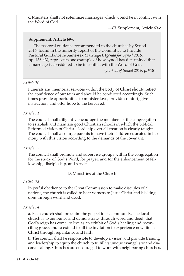c. Ministers shall not solemnize marriages which would be in conflict with the Word of God.

—Cf. Supplement, Article 69-c

# **Supplement, Article 69-c**

The pastoral guidance recommended to the churches by Synod 2016, found in the minority report of the Committee to Provide Pastoral Guidance re Same-sex Marriage (*Agenda for Synod 2016,*  pp. 436-43), represents one example of how synod has determined that a marriage is considered to be in conflict with the Word of God.

(cf. *Acts of Synod 2016*, p. 918)

### *Article 70*

Funerals and memorial services within the body of Christ should reflect the confidence of our faith and should be conducted accordingly. Such times provide opportunities to minister love, provide comfort, give instruction, and offer hope to the bereaved.

# *Article 71*

The council shall diligently encourage the members of the congregation to establish and maintain good Christian schools in which the biblical, Reformed vision of Christ's lordship over all creation is clearly taught. The council shall also urge parents to have their children educated in harmony with this vision according to the demands of the covenant.

# *Article 72*

The council shall promote and supervise groups within the congregation for the study of God's Word, for prayer, and for the enhancement of fellowship, discipleship, and service.

D. Ministries of the Church

# *Article 73*

In joyful obedience to the Great Commission to make disciples of all nations, the church is called to bear witness to Jesus Christ and his kingdom through word and deed.

# *Article 74*

a. Each church shall proclaim the gospel to its community. The local church is to announce and demonstrate, through word and deed, that God's reign has come; to live as an exhibit of God's healing and reconciling grace; and to extend to all the invitation to experience new life in Christ through repentance and faith.

b. The council shall be responsible to develop a vision and provide training and leadership to equip the church to fulfill its unique evangelistic and diaconal calling. Churches are encouraged to work with neighboring churches,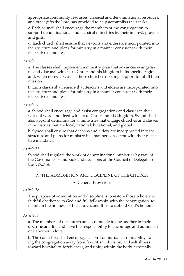appropriate community resources, classical and denominational resources, and other gifts the Lord has provided to help accomplish their tasks.

c. Each council shall encourage the members of the congregation to support denominational and classical ministries by their interest, prayers, and gifts.

d. Each church shall ensure that deacons and elders are incorporated into the structure and plans for ministry in a manner consistent with their respective mandates.

# *Article 75*

a. The classes shall implement a ministry plan that advances evangelistic and diaconal witness to Christ and his kingdom in its specific region and, when necessary, assist those churches needing support to fulfill their mission.

b. Each classis shall ensure that deacons and elders are incorporated into the structure and plans for ministry in a manner consistent with their respective mandates.

# *Article 76*

a. Synod shall encourage and assist congregations and classes in their work of word and deed witness to Christ and his kingdom. Synod shall also appoint denominational ministries that engage churches and classes in ministries that are local, national, binational, and global.

b. Synod shall ensure that deacons and elders are incorporated into the structure and plans for ministry in a manner consistent with their respective mandates.

# *Article 77*

Synod shall regulate the work of denominational ministries by way of the Governance Handbook and decisions of the Council of Delegates of the CRCNA.

# IV. THE ADMONITION AND DISCIPLINE OF THE CHURCH

# A. General Provisions

# *Article 78*

The purpose of admonition and discipline is to restore those who err to faithful obedience to God and full fellowship with the congregation, to maintain the holiness of the church, and thus to uphold God's honor.

# *Article 79*

a. The members of the church are accountable to one another in their doctrine and life and have the responsibility to encourage and admonish one another in love.

b. The consistory shall encourage a spirit of mutual accountability, calling the congregation away from favoritism, division, and selfishness toward hospitality, forgiveness, and unity within the body, especially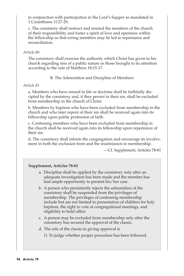in conjunction with participation in the Lord's Supper as mandated in 1 Corinthians 11:27-29.

c. The consistory shall instruct and remind the members of the church of their responsibility and foster a spirit of love and openness within the fellowship so that erring members may be led to repentance and reconciliation.

### *Article 80*

The consistory shall exercise the authority which Christ has given to his church regarding sins of a public nature or those brought to its attention according to the rule of Matthew 18:15-17.

B. The Admonition and Discipline of Members

### *Article 81*

a. Members who have sinned in life or doctrine shall be faithfully discipled by the consistory and, if they persist in their sin, shall be excluded from membership in the church of Christ.

b. Members by baptism who have been excluded from membership in the church and who later repent of their sin shall be received again into its fellowship upon public profession of faith.

c. Confessing members who have been excluded from membership in the church shall be received again into its fellowship upon repentance of their sin.

d. The consistory shall inform the congregation and encourage its involvement in both the exclusion from and the readmission to membership.

—Cf. Supplement, Articles 78-81

# **Supplement, Articles 78-81**

- a. Discipline shall be applied by the consistory only after an adequate investigation has been made and the member has had ample opportunity to present his/her case.
- b. A person who persistently rejects the admonition of the consistory shall be suspended from the privileges of membership. The privileges of confessing membership include but are not limited to presentation of children for holy baptism, the right to vote at congregational meetings, and eligibility to hold office.
- c. A person may be excluded from membership only after the consistory has secured the approval of the classis.
- d. The role of the classis in giving approval is
	- 1) To judge whether proper procedure has been followed.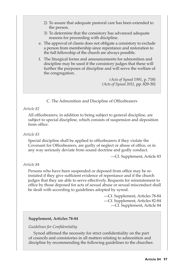- 2) To assure that adequate pastoral care has been extended to the person.
- 3) To determine that the consistory has advanced adequate reasons for proceeding with discipline.
- e. The approval of classis does not obligate a consistory to exclude a person from membership since repentance and restoration to the full fellowship of the church are always possible.
- f. The liturgical forms and announcements for admonition and discipline may be used if the consistory judges that these will further the purposes of discipline and will serve the welfare of the congregation.

*(Acts of Synod 1991*, p. 718) *(Acts of Synod 2011*, pp. 829-30)

C. The Admonition and Discipline of Officebearers

### *Article 82*

All officebearers, in addition to being subject to general discipline, are subject to special discipline, which consists of suspension and deposition from office.

### *Article 83*

Special discipline shall be applied to officebearers if they violate the Covenant for Officebearers, are guilty of neglect or abuse of office, or in any way seriously deviate from sound doctrine and godly conduct.

—Cf. Supplement, Article 83

# *Article 84*

Persons who have been suspended or deposed from office may be reinstated if they give sufficient evidence of repentance and if the church judges that they are able to serve effectively. Requests for reinstatement to office by those deposed for acts of sexual abuse or sexual misconduct shall be dealt with according to guidelines adopted by synod.

> —Cf. Supplement, Articles 78-84 —Cf. Supplement, Articles 82-84 —Cf. Supplement, Article 84

#### **Supplement, Articles 78-84**

#### *Guidelines for Confidentiality*

Synod affirmed the necessity for strict confidentiality on the part of councils and consistories in all matters relating to admonition and discipline by recommending the following guidelines to the churches: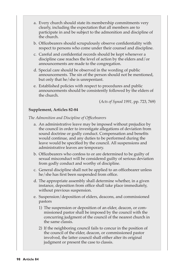- a. Every church should state its membership commitments very clearly, including the expectation that all members are to participate in and be subject to the admonition and discipline of the church.
- b. Officebearers should scrupulously observe confidentiality with respect to persons who come under their counsel and discipline.
- c. Careful and confidential records should be kept whenever a discipline case reaches the level of action by the elders and/or announcements are made to the congregation.
- d. Special care should be observed in the wording of public announcements. The sin of the person should not be mentioned, but only that he/she is unrepentant.
- e. Established policies with respect to procedures and public announcements should be consistently followed by the elders of the church.

(*Acts of Synod 1991,* pp. 723, 769)

#### **Supplement, Articles 82-84**

*The Admonition and Discipline of Officebearers*

- a. An administrative leave may be imposed without prejudice by the council in order to investigate allegations of deviation from sound doctrine or godly conduct. Compensation and benefits would continue, and any duties to be performed during the leave would be specified by the council. All suspensions and administrative leaves are temporary.
- b. Officebearers who confess to or are determined to be guilty of sexual misconduct will be considered guilty of serious deviation from godly conduct and worthy of discipline.
- c. General discipline shall not be applied to an officebearer unless he/she has first been suspended from office.
- d. The appropriate assembly shall determine whether, in a given instance, deposition from office shall take place immediately, without previous suspension.
- e. Suspension/deposition of elders, deacons, and commissioned pastors
	- 1) The suspension or deposition of an elder, deacon, or commissioned pastor shall be imposed by the council with the concurring judgment of the council of the nearest church in the same classis.
	- 2) If the neighboring council fails to concur in the position of the council of the elder, deacon, or commissioned pastor involved, the latter council shall either alter its original judgment or present the case to classis.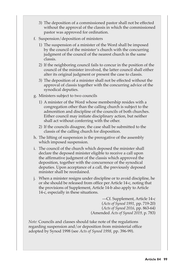- 3) The deposition of a commissioned pastor shall not be effected without the approval of the classis in which the commissioned pastor was approved for ordination.
- f. Suspension/deposition of ministers
	- 1) The suspension of a minister of the Word shall be imposed by the council of the minister's church with the concurring judgment of the council of the nearest church in the same classis.
	- 2) If the neighboring council fails to concur in the position of the council of the minister involved, the latter council shall either alter its original judgment or present the case to classis.
	- 3) The deposition of a minister shall not be effected without the approval of classis together with the concurring advice of the synodical deputies.
- g. Ministers subject to two councils
	- 1) A minister of the Word whose membership resides with a congregation other than the calling church is subject to the admonition and discipline of the councils of both churches. Either council may initiate disciplinary action, but neither shall act without conferring with the other.
	- 2) If the councils disagree, the case shall be submitted to the classis of the calling church for disposition.
- h. The lifting of suspension is the prerogative of the assembly which imposed suspension.
- i. The council of the church which deposed the minister shall declare the deposed minister eligible to receive a call upon the affirmative judgment of the classis which approved the deposition, together with the concurrence of the synodical deputies. Upon acceptance of a call, the previously deposed minister shall be reordained.
- j. When a minister resigns under discipline or to avoid discipline, he or she should be released from office per Article 14-c, noting that the provisions of Supplement, Article 14-b also apply to Article 14-c, especially in these situations.

—Cf. Supplement, Article 14-c (*Acts of Synod 1991,* pp. 719-20) (*Acts of Synod 2016,* pp. 863-64) (Amended *Acts of Synod 2019,* p. 783)

*Note:* Councils and classes should take note of the regulations regarding suspension and/or deposition from ministerial office adopted by Synod 1998 (see *Acts of Synod 1998,* pp. 396-99).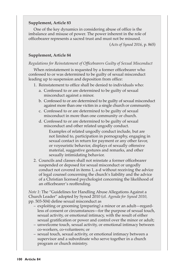### **Supplement, Article 83**

One of the key dynamics in considering abuse of office is the imbalance and misuse of power. The power inherent in the role of officebearer represents a sacred trust and must not be misused.

(*Acts of Synod 2016*, p. 865)

#### **Supplement, Article 84**

#### *Regulations for Reinstatement of Officebearers Guilty of Sexual Misconduct*

When reinstatement is requested by a former officebearer who confessed to or was determined to be guilty of sexual misconduct leading up to suspension and deposition from office:

- 1. Reinstatement to office shall be denied to individuals who:
	- a. Confessed to or are determined to be guilty of sexual misconduct against a minor.
	- b. Confessed to or are determined to be guilty of sexual misconduct against more than one victim in a single church or community.
	- c. Confessed to or are determined to be guilty of sexual misconduct in more than one community or church.
	- d. Confessed to or are determined to be guilty of sexual misconduct and other related ungodly conduct.

Examples of related ungodly conduct include, but are not limited to, participation in pornography, engaging in sexual contact in return for payment or any other favor, or voyeuristic behavior, displays of sexually offensive material, suggestive gestures and remarks, and other sexually intimidating behavior.

2. Councils and classes shall not reinstate a former officebearer suspended or deposed for sexual misconduct or ungodly conduct not covered in items 1, a-d without receiving the advice of legal counsel concerning the church's liability and the advice of a Christian licensed psychologist concerning the likelihood of an officebearer's reoffending.

*Note 1*: The "Guidelines for Handling Abuse Allegations Against a Church Leader" adopted by Synod 2010 (cf. *Agenda for Synod 2010,*  pp. 503-504) define sexual misconduct as

- exploiting or grooming (preparing) a minor or an adult—regardless of consent or circumstances—for the purpose of sexual touch, sexual activity, or emotional intimacy, with the result of either sexual gratification or power and control over the minor or adult;
- unwelcome touch, sexual activity, or emotional intimacy between co-workers, co-volunteers; or
- sexual touch, sexual activity, or emotional intimacy between a supervisor and a subordinate who serve together in a church program or church ministry.